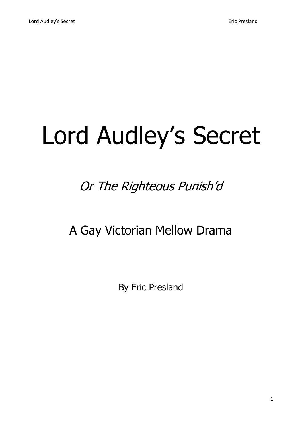# Lord Audley's Secret

# Or The Righteous Punish'd

A Gay Victorian Mellow Drama

By Eric Presland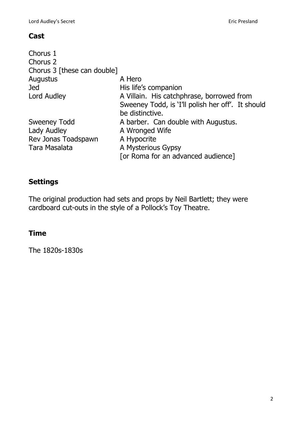#### **Cast**

| Chorus 1<br>Chorus 2        |                                                   |
|-----------------------------|---------------------------------------------------|
| Chorus 3 [these can double] |                                                   |
| Augustus                    | A Hero                                            |
| <b>Jed</b>                  | His life's companion                              |
| Lord Audley                 | A Villain. His catchphrase, borrowed from         |
|                             | Sweeney Todd, is 'I'll polish her off'. It should |
|                             | be distinctive.                                   |
| <b>Sweeney Todd</b>         | A barber. Can double with Augustus.               |
| Lady Audley                 | A Wronged Wife                                    |
| Rev Jonas Toadspawn         | A Hypocrite                                       |
| Tara Masalata               | A Mysterious Gypsy                                |
|                             | [or Roma for an advanced audience]                |

# **Settings**

The original production had sets and props by Neil Bartlett; they were cardboard cut-outs in the style of a Pollock's Toy Theatre.

# **Time**

The 1820s-1830s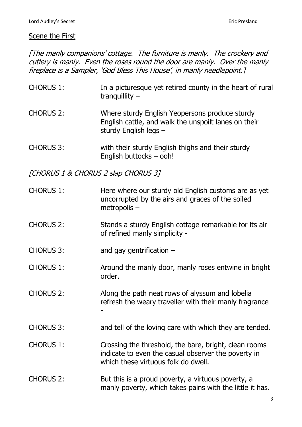#### Scene the First

[The manly companions' cottage. The furniture is manly. The crockery and cutlery is manly. Even the roses round the door are manly. Over the manly fireplace is a Sampler, 'God Bless This House', in manly needlepoint.]

| <b>CHORUS 1:</b>                    | In a picturesque yet retired county in the heart of rural<br>tranquillity $-$                                                                       |
|-------------------------------------|-----------------------------------------------------------------------------------------------------------------------------------------------------|
| <b>CHORUS 2:</b>                    | Where sturdy English Yeopersons produce sturdy<br>English cattle, and walk the unspoilt lanes on their<br>sturdy English legs $-$                   |
| <b>CHORUS 3:</b>                    | with their sturdy English thighs and their sturdy<br>English buttocks - ooh!                                                                        |
| [CHORUS 1 & CHORUS 2 slap CHORUS 3] |                                                                                                                                                     |
| <b>CHORUS 1:</b>                    | Here where our sturdy old English customs are as yet<br>uncorrupted by the airs and graces of the soiled<br>metropolis $-$                          |
| <b>CHORUS 2:</b>                    | Stands a sturdy English cottage remarkable for its air<br>of refined manly simplicity -                                                             |
| <b>CHORUS 3:</b>                    | and gay gentrification $-$                                                                                                                          |
| <b>CHORUS 1:</b>                    | Around the manly door, manly roses entwine in bright<br>order.                                                                                      |
| <b>CHORUS 2:</b>                    | Along the path neat rows of alyssum and lobelia<br>refresh the weary traveller with their manly fragrance                                           |
| <b>CHORUS 3:</b>                    | and tell of the loving care with which they are tended.                                                                                             |
| <b>CHORUS 1:</b>                    | Crossing the threshold, the bare, bright, clean rooms<br>indicate to even the casual observer the poverty in<br>which these virtuous folk do dwell. |
| <b>CHORUS 2:</b>                    | But this is a proud poverty, a virtuous poverty, a<br>manly poverty, which takes pains with the little it has.                                      |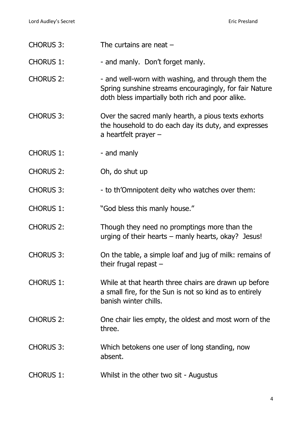| <b>CHORUS 3:</b> | The curtains are neat $-$                                                                                                                                        |
|------------------|------------------------------------------------------------------------------------------------------------------------------------------------------------------|
| <b>CHORUS 1:</b> | - and manly. Don't forget manly.                                                                                                                                 |
| <b>CHORUS 2:</b> | - and well-worn with washing, and through them the<br>Spring sunshine streams encouragingly, for fair Nature<br>doth bless impartially both rich and poor alike. |
| <b>CHORUS 3:</b> | Over the sacred manly hearth, a pious texts exhorts<br>the household to do each day its duty, and expresses<br>a heartfelt prayer $-$                            |
| <b>CHORUS 1:</b> | - and manly                                                                                                                                                      |
| <b>CHORUS 2:</b> | Oh, do shut up                                                                                                                                                   |
| <b>CHORUS 3:</b> | - to th'Omnipotent deity who watches over them:                                                                                                                  |
| <b>CHORUS 1:</b> | "God bless this manly house."                                                                                                                                    |
| <b>CHORUS 2:</b> | Though they need no promptings more than the<br>urging of their hearts $-$ manly hearts, okay? Jesus!                                                            |
| <b>CHORUS 3:</b> | On the table, a simple loaf and jug of milk: remains of<br>their frugal repast $-$                                                                               |
| <b>CHORUS 1:</b> | While at that hearth three chairs are drawn up before<br>a small fire, for the Sun is not so kind as to entirely<br>banish winter chills.                        |
| <b>CHORUS 2:</b> | One chair lies empty, the oldest and most worn of the<br>three.                                                                                                  |
| <b>CHORUS 3:</b> | Which betokens one user of long standing, now<br>absent.                                                                                                         |
| <b>CHORUS 1:</b> | Whilst in the other two sit - Augustus                                                                                                                           |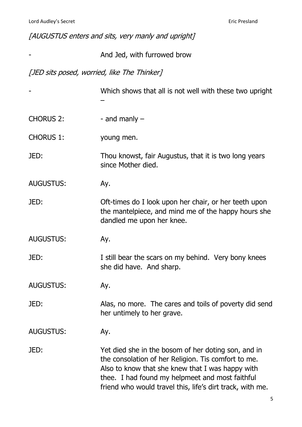| [AUGUSTUS enters and sits, very manly and upright] |  |  |
|----------------------------------------------------|--|--|
|----------------------------------------------------|--|--|

|  |  | And Jed, with furrowed brow |
|--|--|-----------------------------|
|--|--|-----------------------------|

[JED sits posed, worried, like The Thinker]

|                  | Which shows that all is not well with these two upright                                                                                                                                                                                                                        |
|------------------|--------------------------------------------------------------------------------------------------------------------------------------------------------------------------------------------------------------------------------------------------------------------------------|
| <b>CHORUS 2:</b> | - and manly $-$                                                                                                                                                                                                                                                                |
| <b>CHORUS 1:</b> | young men.                                                                                                                                                                                                                                                                     |
| JED:             | Thou knowst, fair Augustus, that it is two long years<br>since Mother died.                                                                                                                                                                                                    |
| <b>AUGUSTUS:</b> | Ay.                                                                                                                                                                                                                                                                            |
| JED:             | Oft-times do I look upon her chair, or her teeth upon<br>the mantelpiece, and mind me of the happy hours she<br>dandled me upon her knee.                                                                                                                                      |
| <b>AUGUSTUS:</b> | Ay.                                                                                                                                                                                                                                                                            |
| JED:             | I still bear the scars on my behind. Very bony knees<br>she did have. And sharp.                                                                                                                                                                                               |
| <b>AUGUSTUS:</b> | Ay.                                                                                                                                                                                                                                                                            |
| JED:             | Alas, no more. The cares and toils of poverty did send<br>her untimely to her grave.                                                                                                                                                                                           |
| <b>AUGUSTUS:</b> | Ay.                                                                                                                                                                                                                                                                            |
| JED:             | Yet died she in the bosom of her doting son, and in<br>the consolation of her Religion. Tis comfort to me.<br>Also to know that she knew that I was happy with<br>thee. I had found my helpmeet and most faithful<br>friend who would travel this, life's dirt track, with me. |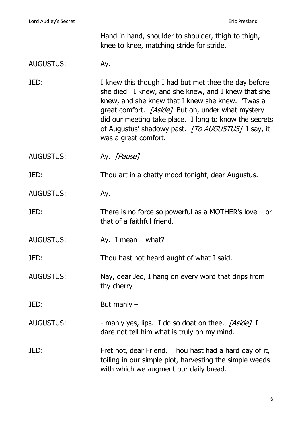Hand in hand, shoulder to shoulder, thigh to thigh, knee to knee, matching stride for stride.

## AUGUSTUS: Ay.

JED: I knew this though I had but met thee the day before she died. I knew, and she knew, and I knew that she knew, and she knew that I knew she knew. 'Twas a great comfort. [Aside] But oh, under what mystery did our meeting take place. I long to know the secrets of Augustus' shadowy past. [To AUGUSTUS] I say, it was a great comfort.

AUGUSTUS: Ay. [Pause]

JED: Thou art in a chatty mood tonight, dear Augustus.

AUGUSTUS: Ay.

JED: There is no force so powerful as a MOTHER's love – or that of a faithful friend.

AUGUSTUS: Ay. I mean – what?

JED: Thou hast not heard aught of what I said.

AUGUSTUS: Nay, dear Jed, I hang on every word that drips from thy cherry –

JED: But manly –

AUGUSTUS: - manly yes, lips. I do so doat on thee. [Aside] I dare not tell him what is truly on my mind.

JED: Fret not, dear Friend. Thou hast had a hard day of it, toiling in our simple plot, harvesting the simple weeds with which we augment our daily bread.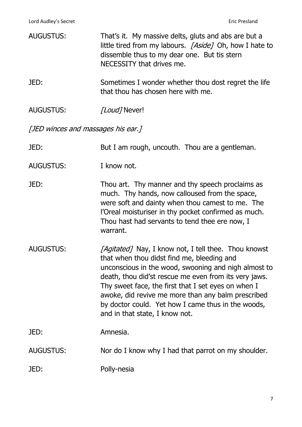| <b>AUGUSTUS:</b>                   | That's it. My massive delts, gluts and abs are but a<br>little tired from my labours. [Aside] Oh, how I hate to<br>dissemble thus to my dear one. But tis stern<br>NECESSITY that drives me.                                                                                                                                                                                                                             |  |
|------------------------------------|--------------------------------------------------------------------------------------------------------------------------------------------------------------------------------------------------------------------------------------------------------------------------------------------------------------------------------------------------------------------------------------------------------------------------|--|
| JED:                               | Sometimes I wonder whether thou dost regret the life<br>that thou has chosen here with me.                                                                                                                                                                                                                                                                                                                               |  |
| <b>AUGUSTUS:</b>                   | [Loud] Never!                                                                                                                                                                                                                                                                                                                                                                                                            |  |
| [JED winces and massages his ear.] |                                                                                                                                                                                                                                                                                                                                                                                                                          |  |
| JED:                               | But I am rough, uncouth. Thou are a gentleman.                                                                                                                                                                                                                                                                                                                                                                           |  |
| <b>AUGUSTUS:</b>                   | I know not.                                                                                                                                                                                                                                                                                                                                                                                                              |  |
| JED:                               | Thou art. Thy manner and thy speech proclaims as<br>much. Thy hands, now calloused from the space,<br>were soft and dainty when thou camest to me. The<br>l'Oreal moisturiser in thy pocket confirmed as much.<br>Thou hast had servants to tend thee ere now, I<br>warrant.                                                                                                                                             |  |
| <b>AUGUSTUS:</b>                   | [Agitated] Nay, I know not, I tell thee. Thou knowst<br>that when thou didst find me, bleeding and<br>unconscious in the wood, swooning and nigh almost to<br>death, thou did'st rescue me even from its very jaws.<br>Thy sweet face, the first that I set eyes on when I<br>awoke, did revive me more than any balm prescribed<br>by doctor could. Yet how I came thus in the woods,<br>and in that state, I know not. |  |
| JED:                               | Amnesia.                                                                                                                                                                                                                                                                                                                                                                                                                 |  |
| <b>AUGUSTUS:</b>                   | Nor do I know why I had that parrot on my shoulder.                                                                                                                                                                                                                                                                                                                                                                      |  |
| JED:                               | Polly-nesia                                                                                                                                                                                                                                                                                                                                                                                                              |  |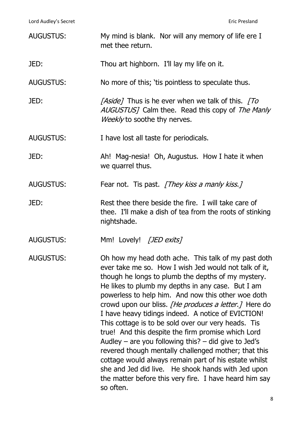| <b>AUGUSTUS:</b> | My mind is blank. Nor will any memory of life ere I<br>met thee return.                                                                                                                                                                                                                                                                                                                                                                                                                                                                                                                                                                                                                                                                                                                                                  |
|------------------|--------------------------------------------------------------------------------------------------------------------------------------------------------------------------------------------------------------------------------------------------------------------------------------------------------------------------------------------------------------------------------------------------------------------------------------------------------------------------------------------------------------------------------------------------------------------------------------------------------------------------------------------------------------------------------------------------------------------------------------------------------------------------------------------------------------------------|
| JED:             | Thou art highborn. I'll lay my life on it.                                                                                                                                                                                                                                                                                                                                                                                                                                                                                                                                                                                                                                                                                                                                                                               |
| <b>AUGUSTUS:</b> | No more of this; 'tis pointless to speculate thus.                                                                                                                                                                                                                                                                                                                                                                                                                                                                                                                                                                                                                                                                                                                                                                       |
| JED:             | [Aside] Thus is he ever when we talk of this. [To<br>AUGUSTUS] Calm thee. Read this copy of The Manly<br><i>Weekly</i> to soothe thy nerves.                                                                                                                                                                                                                                                                                                                                                                                                                                                                                                                                                                                                                                                                             |
| <b>AUGUSTUS:</b> | I have lost all taste for periodicals.                                                                                                                                                                                                                                                                                                                                                                                                                                                                                                                                                                                                                                                                                                                                                                                   |
| JED:             | Ah! Mag-nesia! Oh, Augustus. How I hate it when<br>we quarrel thus.                                                                                                                                                                                                                                                                                                                                                                                                                                                                                                                                                                                                                                                                                                                                                      |
| <b>AUGUSTUS:</b> | Fear not. Tis past. [They kiss a manly kiss.]                                                                                                                                                                                                                                                                                                                                                                                                                                                                                                                                                                                                                                                                                                                                                                            |
| JED:             | Rest thee there beside the fire. I will take care of<br>thee. I'll make a dish of tea from the roots of stinking<br>nightshade.                                                                                                                                                                                                                                                                                                                                                                                                                                                                                                                                                                                                                                                                                          |
| <b>AUGUSTUS:</b> | Mm! Lovely! [JED exits]                                                                                                                                                                                                                                                                                                                                                                                                                                                                                                                                                                                                                                                                                                                                                                                                  |
| <b>AUGUSTUS:</b> | Oh how my head doth ache. This talk of my past doth<br>ever take me so. How I wish Jed would not talk of it,<br>though he longs to plumb the depths of my mystery.<br>He likes to plumb my depths in any case. But I am<br>powerless to help him. And now this other woe doth<br>crowd upon our bliss. <i>[He produces a letter.]</i> Here do<br>I have heavy tidings indeed. A notice of EVICTION!<br>This cottage is to be sold over our very heads. Tis<br>true! And this despite the firm promise which Lord<br>Audley – are you following this? $-$ did give to Jed's<br>revered though mentally challenged mother; that this<br>cottage would always remain part of his estate whilst<br>she and Jed did live. He shook hands with Jed upon<br>the matter before this very fire. I have heard him say<br>so often. |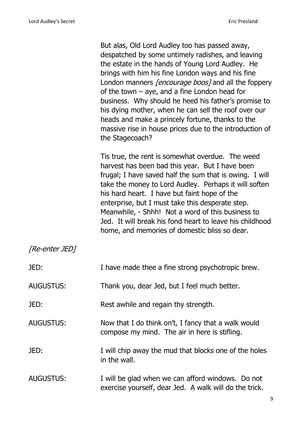Tis true, the rent is somewhat overdue. The weed harvest has been bad this year. But I have been frugal; I have saved half the sum that is owing. I will take the money to Lord Audley. Perhaps it will soften his hard heart. I have but faint hope of the enterprise, but I must take this desperate step. Meanwhile, - Shhh! Not a word of this business to Jed. It will break his fond heart to leave his childhood home, and memories of domestic bliss so dear.

| JED:             | I have made thee a fine strong psychotropic brew.                                                           |
|------------------|-------------------------------------------------------------------------------------------------------------|
| <b>AUGUSTUS:</b> | Thank you, dear Jed, but I feel much better.                                                                |
| JED:             | Rest awhile and regain thy strength.                                                                        |
| <b>AUGUSTUS:</b> | Now that I do think on't, I fancy that a walk would<br>compose my mind. The air in here is stifling.        |
| JED:             | I will chip away the mud that blocks one of the holes<br>in the wall.                                       |
| <b>AUGUSTUS:</b> | I will be glad when we can afford windows. Do not<br>exercise yourself, dear Jed. A walk will do the trick. |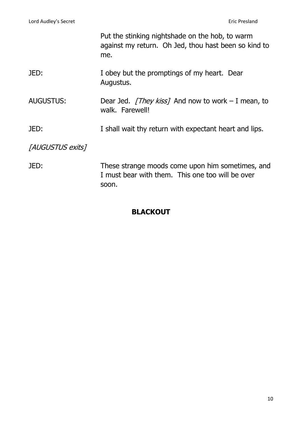|                  | Put the stinking nightshade on the hob, to warm<br>against my return. Oh Jed, thou hast been so kind to<br>me. |
|------------------|----------------------------------------------------------------------------------------------------------------|
| JED:             | I obey but the promptings of my heart. Dear<br>Augustus.                                                       |
| <b>AUGUSTUS:</b> | Dear Jed. <i>[They kiss]</i> And now to work – I mean, to<br>walk. Farewell!                                   |
| JED:             | I shall wait thy return with expectant heart and lips.                                                         |
| [AUGUSTUS exits] |                                                                                                                |
| JED:             | These strange moods come upon him sometimes, and<br>I must bear with them. This one too will be over<br>soon.  |

## **BLACKOUT**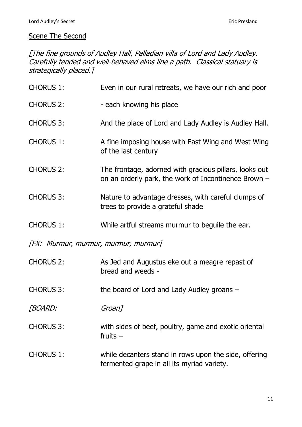#### Scene The Second

[The fine grounds of Audley Hall, Palladian villa of Lord and Lady Audley. Carefully tended and well-behaved elms line a path. Classical statuary is strategically placed.]

| <b>CHORUS 1:</b>                     | Even in our rural retreats, we have our rich and poor                                                            |  |
|--------------------------------------|------------------------------------------------------------------------------------------------------------------|--|
| <b>CHORUS 2:</b>                     | - each knowing his place                                                                                         |  |
| <b>CHORUS 3:</b>                     | And the place of Lord and Lady Audley is Audley Hall.                                                            |  |
| <b>CHORUS 1:</b>                     | A fine imposing house with East Wing and West Wing<br>of the last century                                        |  |
| <b>CHORUS 2:</b>                     | The frontage, adorned with gracious pillars, looks out<br>on an orderly park, the work of Incontinence Brown $-$ |  |
| <b>CHORUS 3:</b>                     | Nature to advantage dresses, with careful clumps of<br>trees to provide a grateful shade                         |  |
| <b>CHORUS 1:</b>                     | While artful streams murmur to beguile the ear.                                                                  |  |
| [FX: Murmur, murmur, murmur, murmur] |                                                                                                                  |  |
| <b>CHORUS 2:</b>                     | As Jed and Augustus eke out a meagre repast of<br>bread and weeds -                                              |  |
| <b>CHORUS 3:</b>                     | the board of Lord and Lady Audley groans -                                                                       |  |
| [BOARD:                              | Groan]                                                                                                           |  |
| <b>CHORUS 3:</b>                     | with sides of beef, poultry, game and exotic oriental<br>fruits $-$                                              |  |
| <b>CHORUS 1:</b>                     | while decanters stand in rows upon the side, offering<br>fermented grape in all its myriad variety.              |  |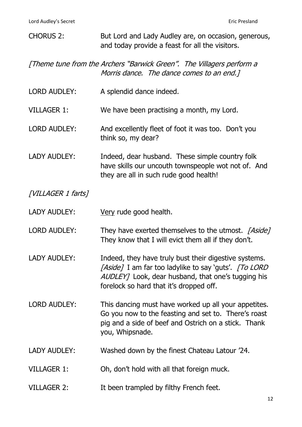| <b>CHORUS 2:</b>    | But Lord and Lady Audley are, on occasion, generous,<br>and today provide a feast for all the visitors.                                                                                                         |
|---------------------|-----------------------------------------------------------------------------------------------------------------------------------------------------------------------------------------------------------------|
|                     | [Theme tune from the Archers "Barwick Green". The Villagers perform a<br>Morris dance. The dance comes to an end.]                                                                                              |
| <b>LORD AUDLEY:</b> | A splendid dance indeed.                                                                                                                                                                                        |
| <b>VILLAGER 1:</b>  | We have been practising a month, my Lord.                                                                                                                                                                       |
| <b>LORD AUDLEY:</b> | And excellently fleet of foot it was too. Don't you<br>think so, my dear?                                                                                                                                       |
| <b>LADY AUDLEY:</b> | Indeed, dear husband. These simple country folk<br>have skills our uncouth townspeople wot not of. And<br>they are all in such rude good health!                                                                |
| [VILLAGER 1 farts]  |                                                                                                                                                                                                                 |
| <b>LADY AUDLEY:</b> | Very rude good health.                                                                                                                                                                                          |
| <b>LORD AUDLEY:</b> | They have exerted themselves to the utmost. [Aside]<br>They know that I will evict them all if they don't.                                                                                                      |
| LADY AUDLEY:        | Indeed, they have truly bust their digestive systems.<br>[Aside] I am far too ladylike to say 'guts'. [To LORD<br>AUDLEY] Look, dear husband, that one's tugging his<br>forelock so hard that it's dropped off. |
| <b>LORD AUDLEY:</b> | This dancing must have worked up all your appetites.<br>Go you now to the feasting and set to. There's roast<br>pig and a side of beef and Ostrich on a stick. Thank<br>you, Whipsnade.                         |
| <b>LADY AUDLEY:</b> | Washed down by the finest Chateau Latour '24.                                                                                                                                                                   |
| <b>VILLAGER 1:</b>  | Oh, don't hold with all that foreign muck.                                                                                                                                                                      |
| <b>VILLAGER 2:</b>  | It been trampled by filthy French feet.                                                                                                                                                                         |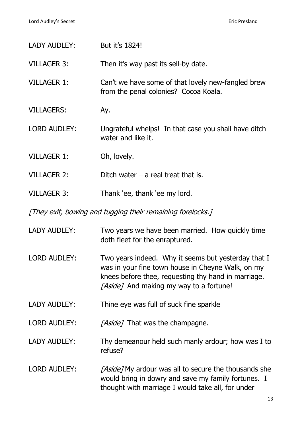| LADY AUDLEY:                                               | But it's 1824!                                                                                                                                                                                             |  |
|------------------------------------------------------------|------------------------------------------------------------------------------------------------------------------------------------------------------------------------------------------------------------|--|
| <b>VILLAGER 3:</b>                                         | Then it's way past its sell-by date.                                                                                                                                                                       |  |
| <b>VILLAGER 1:</b>                                         | Can't we have some of that lovely new-fangled brew<br>from the penal colonies? Cocoa Koala.                                                                                                                |  |
| <b>VILLAGERS:</b>                                          | Ay.                                                                                                                                                                                                        |  |
| <b>LORD AUDLEY:</b>                                        | Ungrateful whelps! In that case you shall have ditch<br>water and like it.                                                                                                                                 |  |
| <b>VILLAGER 1:</b>                                         | Oh, lovely.                                                                                                                                                                                                |  |
| <b>VILLAGER 2:</b>                                         | Ditch water $-$ a real treat that is.                                                                                                                                                                      |  |
| <b>VILLAGER 3:</b>                                         | Thank 'ee, thank 'ee my lord.                                                                                                                                                                              |  |
| [They exit, bowing and tugging their remaining forelocks.] |                                                                                                                                                                                                            |  |
| <b>LADY AUDLEY:</b>                                        | Two years we have been married. How quickly time<br>doth fleet for the enraptured.                                                                                                                         |  |
| <b>LORD AUDLEY:</b>                                        | Two years indeed. Why it seems but yesterday that I<br>was in your fine town house in Cheyne Walk, on my<br>knees before thee, requesting thy hand in marriage.<br>[Aside] And making my way to a fortune! |  |
| LADY AUDLEY:                                               | Thine eye was full of suck fine sparkle                                                                                                                                                                    |  |
| <b>LORD AUDLEY:</b>                                        | [Aside] That was the champagne.                                                                                                                                                                            |  |
| LADY AUDLEY:                                               | Thy demeanour held such manly ardour; how was I to<br>refuse?                                                                                                                                              |  |
| <b>LORD AUDLEY:</b>                                        | [Aside] My ardour was all to secure the thousands she<br>would bring in dowry and save my family fortunes. I<br>thought with marriage I would take all, for under                                          |  |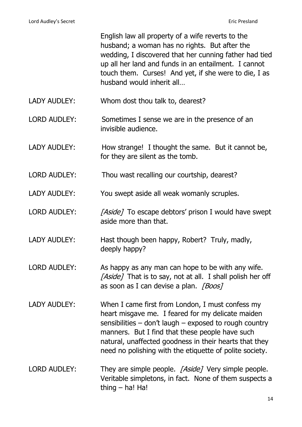|                     | English law all property of a wife reverts to the<br>husband; a woman has no rights. But after the<br>wedding, I discovered that her cunning father had tied<br>up all her land and funds in an entailment. I cannot<br>touch them. Curses! And yet, if she were to die, I as<br>husband would inherit all                                  |
|---------------------|---------------------------------------------------------------------------------------------------------------------------------------------------------------------------------------------------------------------------------------------------------------------------------------------------------------------------------------------|
| <b>LADY AUDLEY:</b> | Whom dost thou talk to, dearest?                                                                                                                                                                                                                                                                                                            |
| <b>LORD AUDLEY:</b> | Sometimes I sense we are in the presence of an<br>invisible audience.                                                                                                                                                                                                                                                                       |
| <b>LADY AUDLEY:</b> | How strange! I thought the same. But it cannot be,<br>for they are silent as the tomb.                                                                                                                                                                                                                                                      |
| <b>LORD AUDLEY:</b> | Thou wast recalling our courtship, dearest?                                                                                                                                                                                                                                                                                                 |
| <b>LADY AUDLEY:</b> | You swept aside all weak womanly scruples.                                                                                                                                                                                                                                                                                                  |
| <b>LORD AUDLEY:</b> | <i>[Aside]</i> To escape debtors' prison I would have swept<br>aside more than that.                                                                                                                                                                                                                                                        |
| <b>LADY AUDLEY:</b> | Hast though been happy, Robert? Truly, madly,<br>deeply happy?                                                                                                                                                                                                                                                                              |
| <b>LORD AUDLEY:</b> | As happy as any man can hope to be with any wife.<br>[Aside] That is to say, not at all. I shall polish her off<br>as soon as I can devise a plan. [Boos]                                                                                                                                                                                   |
| <b>LADY AUDLEY:</b> | When I came first from London, I must confess my<br>heart misgave me. I feared for my delicate maiden<br>sensibilities $-$ don't laugh $-$ exposed to rough country<br>manners. But I find that these people have such<br>natural, unaffected goodness in their hearts that they<br>need no polishing with the etiquette of polite society. |
| <b>LORD AUDLEY:</b> | They are simple people. [Aside] Very simple people.<br>Veritable simpletons, in fact. None of them suspects a<br>thing $-$ ha! Ha!                                                                                                                                                                                                          |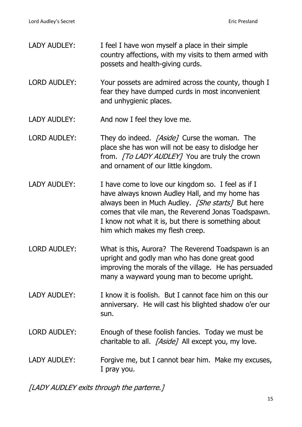| <b>LADY AUDLEY:</b> | I feel I have won myself a place in their simple<br>country affections, with my visits to them armed with<br>possets and health-giving curds.                                                                                                                                                             |
|---------------------|-----------------------------------------------------------------------------------------------------------------------------------------------------------------------------------------------------------------------------------------------------------------------------------------------------------|
| <b>LORD AUDLEY:</b> | Your possets are admired across the county, though I<br>fear they have dumped curds in most inconvenient<br>and unhygienic places.                                                                                                                                                                        |
| <b>LADY AUDLEY:</b> | And now I feel they love me.                                                                                                                                                                                                                                                                              |
| <b>LORD AUDLEY:</b> | They do indeed. [Aside] Curse the woman. The<br>place she has won will not be easy to dislodge her<br>from. [To LADY AUDLEY] You are truly the crown<br>and ornament of our little kingdom.                                                                                                               |
| <b>LADY AUDLEY:</b> | I have come to love our kingdom so. I feel as if I<br>have always known Audley Hall, and my home has<br>always been in Much Audley. [She starts] But here<br>comes that vile man, the Reverend Jonas Toadspawn.<br>I know not what it is, but there is something about<br>him which makes my flesh creep. |
| <b>LORD AUDLEY:</b> | What is this, Aurora? The Reverend Toadspawn is an<br>upright and godly man who has done great good<br>improving the morals of the village. He has persuaded<br>many a wayward young man to become upright.                                                                                               |
| LADY AUDLEY:        | I know it is foolish. But I cannot face him on this our<br>anniversary. He will cast his blighted shadow o'er our<br>sun.                                                                                                                                                                                 |
| <b>LORD AUDLEY:</b> | Enough of these foolish fancies. Today we must be<br>charitable to all. [Aside] All except you, my love.                                                                                                                                                                                                  |
| <b>LADY AUDLEY:</b> | Forgive me, but I cannot bear him. Make my excuses,<br>I pray you.                                                                                                                                                                                                                                        |

[LADY AUDLEY exits through the parterre.]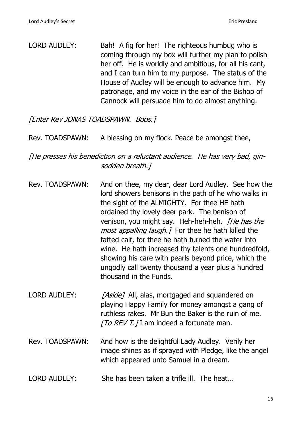LORD AUDLEY: Bah! A fig for her! The righteous humbug who is coming through my box will further my plan to polish her off. He is worldly and ambitious, for all his cant, and I can turn him to my purpose. The status of the House of Audley will be enough to advance him. My patronage, and my voice in the ear of the Bishop of Cannock will persuade him to do almost anything.

[Enter Rev JONAS TOADSPAWN. Boos.]

Rev. TOADSPAWN: A blessing on my flock. Peace be amongst thee,

[He presses his benediction on a reluctant audience. He has very bad, ginsodden breath.]

- Rev. TOADSPAWN: And on thee, my dear, dear Lord Audley. See how the lord showers benisons in the path of he who walks in the sight of the ALMIGHTY. For thee HE hath ordained thy lovely deer park. The benison of venison, you might say. Heh-heh-heh. *[He has the* most appalling laugh. 7 For thee he hath killed the fatted calf, for thee he hath turned the water into wine. He hath increased thy talents one hundredfold, showing his care with pearls beyond price, which the ungodly call twenty thousand a year plus a hundred thousand in the Funds.
- LORD AUDLEY: [Aside] All, alas, mortgaged and squandered on playing Happy Family for money amongst a gang of ruthless rakes. Mr Bun the Baker is the ruin of me.  $[TO REV T.]$ I am indeed a fortunate man.
- Rev. TOADSPAWN: And how is the delightful Lady Audley. Verily her image shines as if sprayed with Pledge, like the angel which appeared unto Samuel in a dream.
- LORD AUDLEY: She has been taken a trifle ill. The heat…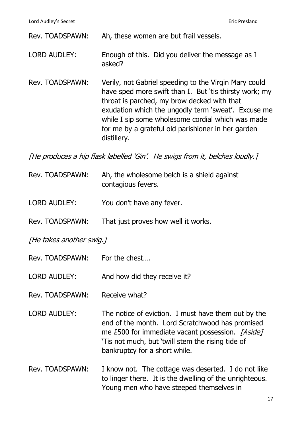Rev. TOADSPAWN: Ah, these women are but frail vessels.

- LORD AUDLEY: Enough of this. Did you deliver the message as I asked?
- Rev. TOADSPAWN: Verily, not Gabriel speeding to the Virgin Mary could have sped more swift than I. But 'tis thirsty work; my throat is parched, my brow decked with that exudation which the ungodly term 'sweat'. Excuse me while I sip some wholesome cordial which was made for me by a grateful old parishioner in her garden distillery.

[He produces a hip flask labelled 'Gin'. He swigs from it, belches loudly.]

| Rev. TOADSPAWN: | Ah, the wholesome belch is a shield against |
|-----------------|---------------------------------------------|
|                 | contagious fevers.                          |

- LORD AUDLEY: You don't have any fever.
- Rev. TOADSPAWN: That just proves how well it works.

[He takes another swig.]

- Rev. TOADSPAWN: For the chest….
- LORD AUDLEY: And how did they receive it?
- Rev. TOADSPAWN: Receive what?
- LORD AUDLEY: The notice of eviction. I must have them out by the end of the month. Lord Scratchwood has promised me £500 for immediate vacant possession. [Aside] 'Tis not much, but 'twill stem the rising tide of bankruptcy for a short while.
- Rev. TOADSPAWN: I know not. The cottage was deserted. I do not like to linger there. It is the dwelling of the unrighteous. Young men who have steeped themselves in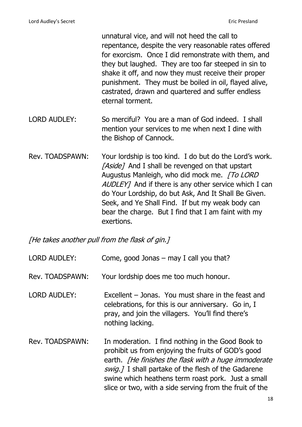unnatural vice, and will not heed the call to repentance, despite the very reasonable rates offered for exorcism. Once I did remonstrate with them, and they but laughed. They are too far steeped in sin to shake it off, and now they must receive their proper punishment. They must be boiled in oil, flayed alive, castrated, drawn and quartered and suffer endless eternal torment.

- LORD AUDLEY: So merciful? You are a man of God indeed. I shall mention your services to me when next I dine with the Bishop of Cannock.
- Rev. TOADSPAWN: Your lordship is too kind. I do but do the Lord's work. [Aside] And I shall be revenged on that upstart Augustus Manleigh, who did mock me. [To LORD AUDLEY] And if there is any other service which I can do Your Lordship, do but Ask, And It Shall Be Given. Seek, and Ye Shall Find. If but my weak body can bear the charge. But I find that I am faint with my exertions.

[He takes another pull from the flask of gin.]

| <b>LORD AUDLEY:</b> | Come, good Jonas $-$ may I call you that?                                                                                                                                                                                                                                                                                                      |
|---------------------|------------------------------------------------------------------------------------------------------------------------------------------------------------------------------------------------------------------------------------------------------------------------------------------------------------------------------------------------|
| Rev. TOADSPAWN:     | Your lordship does me too much honour.                                                                                                                                                                                                                                                                                                         |
| <b>LORD AUDLEY:</b> | Excellent – Jonas. You must share in the feast and<br>celebrations, for this is our anniversary. Go in, I<br>pray, and join the villagers. You'll find there's<br>nothing lacking.                                                                                                                                                             |
| Rev. TOADSPAWN:     | In moderation. I find nothing in the Good Book to<br>prohibit us from enjoying the fruits of GOD's good<br>earth. <i>[He finishes the flask with a huge immoderate</i><br>swig.] I shall partake of the flesh of the Gadarene<br>swine which heathens term roast pork. Just a small<br>slice or two, with a side serving from the fruit of the |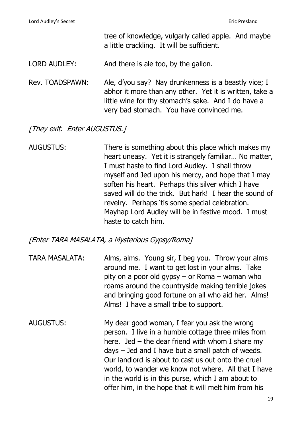tree of knowledge, vulgarly called apple. And maybe a little crackling. It will be sufficient.

LORD AUDLEY: And there is ale too, by the gallon.

Rev. TOADSPAWN: Ale, d'you say? Nay drunkenness is a beastly vice; I abhor it more than any other. Yet it is written, take a little wine for thy stomach's sake. And I do have a very bad stomach. You have convinced me.

[They exit. Enter AUGUSTUS.]

AUGUSTUS: There is something about this place which makes my heart uneasy. Yet it is strangely familiar… No matter, I must haste to find Lord Audley. I shall throw myself and Jed upon his mercy, and hope that I may soften his heart. Perhaps this silver which I have saved will do the trick. But hark! I hear the sound of revelry. Perhaps 'tis some special celebration. Mayhap Lord Audley will be in festive mood. I must haste to catch him.

#### [Enter TARA MASALATA, a Mysterious Gypsy/Roma]

- TARA MASALATA: Alms, alms. Young sir, I beg you. Throw your alms around me. I want to get lost in your alms. Take pity on a poor old gypsy – or Roma – woman who roams around the countryside making terrible jokes and bringing good fortune on all who aid her. Alms! Alms! I have a small tribe to support.
- AUGUSTUS: My dear good woman, I fear you ask the wrong person. I live in a humble cottage three miles from here. Jed – the dear friend with whom I share my days – Jed and I have but a small patch of weeds. Our landlord is about to cast us out onto the cruel world, to wander we know not where. All that I have in the world is in this purse, which I am about to offer him, in the hope that it will melt him from his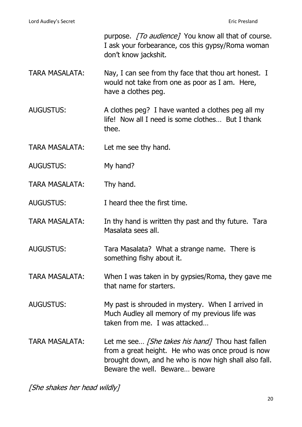|                       | purpose. [To audience] You know all that of course.<br>I ask your forbearance, cos this gypsy/Roma woman<br>don't know jackshit.                                                                        |
|-----------------------|---------------------------------------------------------------------------------------------------------------------------------------------------------------------------------------------------------|
| <b>TARA MASALATA:</b> | Nay, I can see from thy face that thou art honest. I<br>would not take from one as poor as I am. Here,<br>have a clothes peg.                                                                           |
| <b>AUGUSTUS:</b>      | A clothes peg? I have wanted a clothes peg all my<br>life! Now all I need is some clothes But I thank<br>thee.                                                                                          |
| <b>TARA MASALATA:</b> | Let me see thy hand.                                                                                                                                                                                    |
| <b>AUGUSTUS:</b>      | My hand?                                                                                                                                                                                                |
| <b>TARA MASALATA:</b> | Thy hand.                                                                                                                                                                                               |
| <b>AUGUSTUS:</b>      | I heard thee the first time.                                                                                                                                                                            |
| <b>TARA MASALATA:</b> | In thy hand is written thy past and thy future. Tara<br>Masalata sees all.                                                                                                                              |
| <b>AUGUSTUS:</b>      | Tara Masalata? What a strange name. There is<br>something fishy about it.                                                                                                                               |
| <b>TARA MASALATA:</b> | When I was taken in by gypsies/Roma, they gave me<br>that name for starters.                                                                                                                            |
| <b>AUGUSTUS:</b>      | My past is shrouded in mystery. When I arrived in<br>Much Audley all memory of my previous life was<br>taken from me. I was attacked                                                                    |
| <b>TARA MASALATA:</b> | Let me see <i>[She takes his hand]</i> Thou hast fallen<br>from a great height. He who was once proud is now<br>brought down, and he who is now high shall also fall.<br>Beware the well. Beware beware |

[She shakes her head wildly]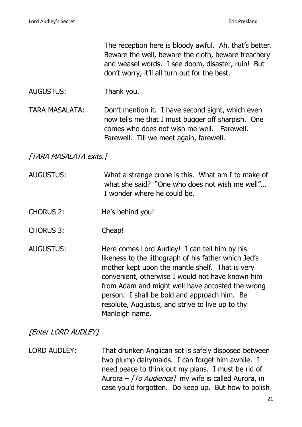The reception here is bloody awful. Ah, that's better. Beware the well, beware the cloth, beware treachery and weasel words. I see doom, disaster, ruin! But don't worry, it'll all turn out for the best.

- AUGUSTUS: Thank you.
- TARA MASALATA: Don't mention it. I have second sight, which even now tells me that I must bugger off sharpish. One comes who does not wish me well. Farewell. Farewell. Till we meet again, farewell.

# [TARA MASALATA exits.]

- AUGUSTUS: What a strange crone is this. What am I to make of what she said? "One who does not wish me well"… I wonder where he could be.
- CHORUS 2: He's behind you!
- CHORUS 3: Cheap!
- AUGUSTUS: Here comes Lord Audley! I can tell him by his likeness to the lithograph of his father which Jed's mother kept upon the mantle shelf. That is very convenient, otherwise I would not have known him from Adam and might well have accosted the wrong person. I shall be bold and approach him. Be resolute, Augustus, and strive to live up to thy Manleigh name.

**[Enter LORD AUDLEY]** 

# LORD AUDLEY: That drunken Anglican sot is safely disposed between two plump dairymaids. I can forget him awhile. I need peace to think out my plans. I must be rid of Aurora –  $\sqrt{TO}$  Audience] my wife is called Aurora, in case you'd forgotten. Do keep up. But how to polish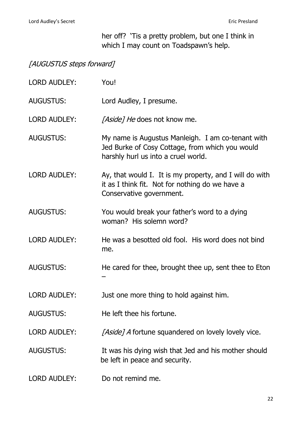her off? 'Tis a pretty problem, but one I think in which I may count on Toadspawn's help.

# [AUGUSTUS steps forward]

| <b>LORD AUDLEY:</b> | You!                                                                                                                                        |
|---------------------|---------------------------------------------------------------------------------------------------------------------------------------------|
| <b>AUGUSTUS:</b>    | Lord Audley, I presume.                                                                                                                     |
| <b>LORD AUDLEY:</b> | <i>[Aside] He</i> does not know me.                                                                                                         |
| <b>AUGUSTUS:</b>    | My name is Augustus Manleigh. I am co-tenant with<br>Jed Burke of Cosy Cottage, from which you would<br>harshly hurl us into a cruel world. |
| <b>LORD AUDLEY:</b> | Ay, that would I. It is my property, and I will do with<br>it as I think fit. Not for nothing do we have a<br>Conservative government.      |
| <b>AUGUSTUS:</b>    | You would break your father's word to a dying<br>woman? His solemn word?                                                                    |
| <b>LORD AUDLEY:</b> | He was a besotted old fool. His word does not bind<br>me.                                                                                   |
| <b>AUGUSTUS:</b>    | He cared for thee, brought thee up, sent thee to Eton                                                                                       |
| <b>LORD AUDLEY:</b> | Just one more thing to hold against him.                                                                                                    |
| <b>AUGUSTUS:</b>    | He left thee his fortune.                                                                                                                   |
| <b>LORD AUDLEY:</b> | [Aside] A fortune squandered on lovely lovely vice.                                                                                         |
| <b>AUGUSTUS:</b>    | It was his dying wish that Jed and his mother should<br>be left in peace and security.                                                      |
| <b>LORD AUDLEY:</b> | Do not remind me.                                                                                                                           |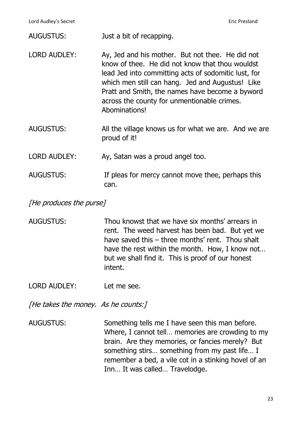| AUGUSTUS: | Just a bit of recapping. |
|-----------|--------------------------|
|-----------|--------------------------|

| LORD AUDLEY: | Ay, Jed and his mother. But not thee. He did not<br>know of thee. He did not know that thou wouldst<br>lead Jed into committing acts of sodomitic lust, for<br>which men still can hang. Jed and Augustus! Like<br>Pratt and Smith, the names have become a byword<br>across the county for unmentionable crimes.<br>Abominations! |
|--------------|------------------------------------------------------------------------------------------------------------------------------------------------------------------------------------------------------------------------------------------------------------------------------------------------------------------------------------|
|              |                                                                                                                                                                                                                                                                                                                                    |

AUGUSTUS: All the village knows us for what we are. And we are proud of it!

LORD AUDLEY: Ay, Satan was a proud angel too.

AUGUSTUS: If pleas for mercy cannot move thee, perhaps this can.

[He produces the purse]

AUGUSTUS: Thou knowst that we have six months' arrears in rent. The weed harvest has been bad. But yet we have saved this – three months' rent. Thou shalt have the rest within the month. How, I know not… but we shall find it. This is proof of our honest intent.

LORD AUDLEY: Let me see.

[He takes the money. As he counts:]

AUGUSTUS: Something tells me I have seen this man before. Where, I cannot tell… memories are crowding to my brain. Are they memories, or fancies merely? But something stirs… something from my past life… I remember a bed, a vile cot in a stinking hovel of an Inn… It was called… Travelodge.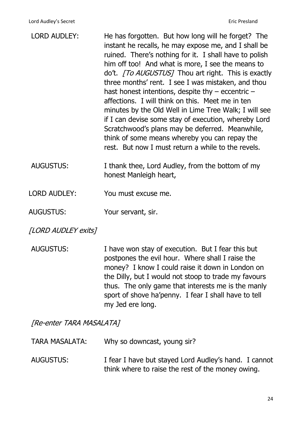| <b>LORD AUDLEY:</b> | He has forgotten. But how long will he forget? The<br>instant he recalls, he may expose me, and I shall be<br>ruined. There's nothing for it. I shall have to polish<br>him off too! And what is more, I see the means to<br>do't. <i>[To AUGUSTUS]</i> Thou art right. This is exactly<br>three months' rent. I see I was mistaken, and thou<br>hast honest intentions, despite thy $-$ eccentric $-$<br>affections. I will think on this. Meet me in ten<br>minutes by the Old Well in Lime Tree Walk; I will see<br>if I can devise some stay of execution, whereby Lord<br>Scratchwood's plans may be deferred. Meanwhile,<br>think of some means whereby you can repay the<br>rest. But now I must return a while to the revels. |
|---------------------|---------------------------------------------------------------------------------------------------------------------------------------------------------------------------------------------------------------------------------------------------------------------------------------------------------------------------------------------------------------------------------------------------------------------------------------------------------------------------------------------------------------------------------------------------------------------------------------------------------------------------------------------------------------------------------------------------------------------------------------|
| <b>AUGUSTUS:</b>    | I thank thee, Lord Audley, from the bottom of my                                                                                                                                                                                                                                                                                                                                                                                                                                                                                                                                                                                                                                                                                      |

honest Manleigh heart,

- LORD AUDLEY: You must excuse me.
- AUGUSTUS: Your servant, sir.
- [LORD AUDLEY exits]
- AUGUSTUS: I have won stay of execution. But I fear this but postpones the evil hour. Where shall I raise the money? I know I could raise it down in London on the Dilly, but I would not stoop to trade my favours thus. The only game that interests me is the manly sport of shove ha'penny. I fear I shall have to tell my Jed ere long.

[Re-enter TARA MASALATA]

| <b>TARA MASALATA:</b> | Why so downcast, young sir?                                                                                |
|-----------------------|------------------------------------------------------------------------------------------------------------|
| AUGUSTUS:             | I fear I have but stayed Lord Audley's hand. I cannot<br>think where to raise the rest of the money owing. |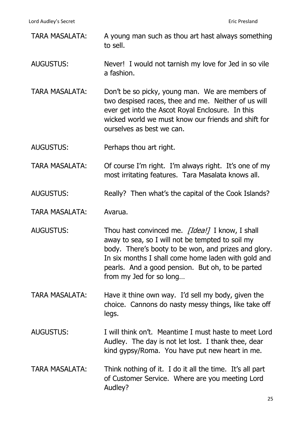Lord Audley's Secret **Eric Presland** 

- TARA MASALATA: A young man such as thou art hast always something to sell.
- AUGUSTUS: Never! I would not tarnish my love for Jed in so vile a fashion.
- TARA MASALATA: Don't be so picky, young man. We are members of two despised races, thee and me. Neither of us will ever get into the Ascot Royal Enclosure. In this wicked world we must know our friends and shift for ourselves as best we can.
- AUGUSTUS: Perhaps thou art right.

TARA MASALATA: Of course I'm right. I'm always right. It's one of my most irritating features. Tara Masalata knows all.

- AUGUSTUS: Really? Then what's the capital of the Cook Islands?
- TARA MASALATA: Avarua.
- AUGUSTUS: Thou hast convinced me. [Idea!] I know, I shall away to sea, so I will not be tempted to soil my body. There's booty to be won, and prizes and glory. In six months I shall come home laden with gold and pearls. And a good pension. But oh, to be parted from my Jed for so long…
- TARA MASALATA: Have it thine own way. I'd sell my body, given the choice. Cannons do nasty messy things, like take off legs.
- AUGUSTUS: I will think on't. Meantime I must haste to meet Lord Audley. The day is not let lost. I thank thee, dear kind gypsy/Roma. You have put new heart in me.
- TARA MASALATA: Think nothing of it. I do it all the time. It's all part of Customer Service. Where are you meeting Lord Audley?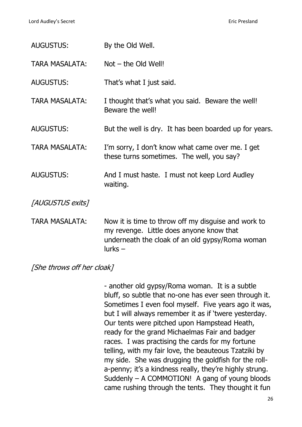| <b>AUGUSTUS:</b>      | By the Old Well.                                                                                                                                                |
|-----------------------|-----------------------------------------------------------------------------------------------------------------------------------------------------------------|
| <b>TARA MASALATA:</b> | $Not - the Old Well!$                                                                                                                                           |
| <b>AUGUSTUS:</b>      | That's what I just said.                                                                                                                                        |
| <b>TARA MASALATA:</b> | I thought that's what you said. Beware the well!<br>Beware the well!                                                                                            |
| <b>AUGUSTUS:</b>      | But the well is dry. It has been boarded up for years.                                                                                                          |
| <b>TARA MASALATA:</b> | I'm sorry, I don't know what came over me. I get<br>these turns sometimes. The well, you say?                                                                   |
| <b>AUGUSTUS:</b>      | And I must haste. I must not keep Lord Audley<br>waiting.                                                                                                       |
| [AUGUSTUS exits]      |                                                                                                                                                                 |
| <b>TARA MASALATA:</b> | Now it is time to throw off my disguise and work to<br>my revenge. Little does anyone know that<br>underneath the cloak of an old gypsy/Roma woman<br>$larks -$ |

[She throws off her cloak]

- another old gypsy/Roma woman. It is a subtle bluff, so subtle that no-one has ever seen through it. Sometimes I even fool myself. Five years ago it was, but I will always remember it as if 'twere yesterday. Our tents were pitched upon Hampstead Heath, ready for the grand Michaelmas Fair and badger races. I was practising the cards for my fortune telling, with my fair love, the beauteous Tzatziki by my side. She was drugging the goldfish for the rolla-penny; it's a kindness really, they're highly strung. Suddenly – A COMMOTION! A gang of young bloods came rushing through the tents. They thought it fun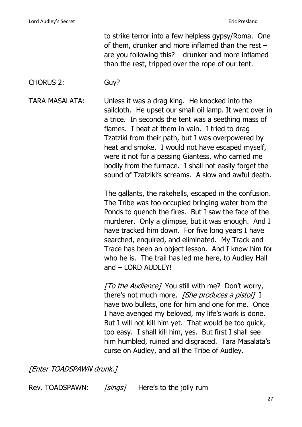to strike terror into a few helpless gypsy/Roma. One of them, drunker and more inflamed than the rest – are you following this? – drunker and more inflamed than the rest, tripped over the rope of our tent.

#### CHORUS 2: Guy?

TARA MASALATA: Unless it was a drag king. He knocked into the sailcloth. He upset our small oil lamp. It went over in a trice. In seconds the tent was a seething mass of flames. I beat at them in vain. I tried to drag Tzatziki from their path, but I was overpowered by heat and smoke. I would not have escaped myself, were it not for a passing Giantess, who carried me bodily from the furnace. I shall not easily forget the sound of Tzatziki's screams. A slow and awful death.

> The gallants, the rakehells, escaped in the confusion. The Tribe was too occupied bringing water from the Ponds to quench the fires. But I saw the face of the murderer. Only a glimpse, but it was enough. And I have tracked him down. For five long years I have searched, enquired, and eliminated. My Track and Trace has been an object lesson. And I know him for who he is. The trail has led me here, to Audley Hall and – LORD AUDLEY!

[To the Audience] You still with me? Don't worry, there's not much more. *[She produces a pistol]* I have two bullets, one for him and one for me. Once I have avenged my beloved, my life's work is done. But I will not kill him yet. That would be too quick, too easy. I shall kill him, yes. But first I shall see him humbled, ruined and disgraced. Tara Masalata's curse on Audley, and all the Tribe of Audley.

[Enter TOADSPAWN drunk.]

Rev. TOADSPAWN: [sings] Here's to the jolly rum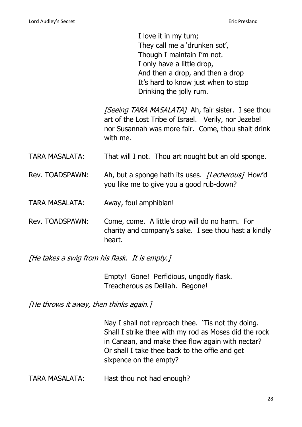I love it in my tum; They call me a 'drunken sot', Though I maintain I'm not. I only have a little drop, And then a drop, and then a drop It's hard to know just when to stop Drinking the jolly rum.

[Seeing TARA MASALATA] Ah, fair sister. I see thou art of the Lost Tribe of Israel. Verily, nor Jezebel nor Susannah was more fair. Come, thou shalt drink with me.

TARA MASALATA: That will I not. Thou art nought but an old sponge.

- Rev. TOADSPAWN: Ah, but a sponge hath its uses. *[Lecherous]* How'd you like me to give you a good rub-down?
- TARA MASALATA: Away, foul amphibian!
- Rev. TOADSPAWN: Come, come. A little drop will do no harm. For charity and company's sake. I see thou hast a kindly heart.

[He takes a swig from his flask. It is empty.]

Empty! Gone! Perfidious, ungodly flask. Treacherous as Delilah. Begone!

[He throws it away, then thinks again.]

Nay I shall not reproach thee. 'Tis not thy doing. Shall I strike thee with my rod as Moses did the rock in Canaan, and make thee flow again with nectar? Or shall I take thee back to the offie and get sixpence on the empty?

TARA MASALATA: Hast thou not had enough?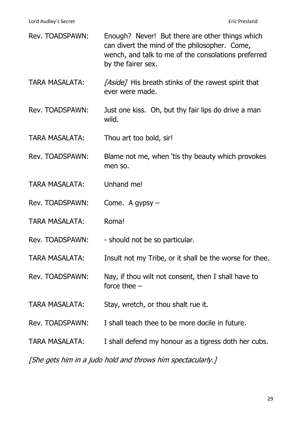| Rev. TOADSPAWN:       | Enough? Never! But there are other things which<br>can divert the mind of the philosopher. Come,<br>wench, and talk to me of the consolations preferred<br>by the fairer sex. |
|-----------------------|-------------------------------------------------------------------------------------------------------------------------------------------------------------------------------|
| <b>TARA MASALATA:</b> | [Aside] His breath stinks of the rawest spirit that<br>ever were made.                                                                                                        |
| Rev. TOADSPAWN:       | Just one kiss. Oh, but thy fair lips do drive a man<br>wild.                                                                                                                  |
| <b>TARA MASALATA:</b> | Thou art too bold, sir!                                                                                                                                                       |
| Rev. TOADSPAWN:       | Blame not me, when 'tis thy beauty which provokes<br>men so.                                                                                                                  |
| <b>TARA MASALATA:</b> | Unhand me!                                                                                                                                                                    |
| Rev. TOADSPAWN:       | Come. A gypsy $-$                                                                                                                                                             |
| <b>TARA MASALATA:</b> | Roma!                                                                                                                                                                         |
| Rev. TOADSPAWN:       | - should not be so particular.                                                                                                                                                |
| <b>TARA MASALATA:</b> | Insult not my Tribe, or it shall be the worse for thee.                                                                                                                       |
| Rev. TOADSPAWN:       | Nay, if thou wilt not consent, then I shall have to<br>force thee $-$                                                                                                         |
| <b>TARA MASALATA:</b> | Stay, wretch, or thou shalt rue it.                                                                                                                                           |
| Rev. TOADSPAWN:       | I shall teach thee to be more docile in future.                                                                                                                               |
| TARA MASALATA:        | I shall defend my honour as a tigress doth her cubs.                                                                                                                          |
|                       |                                                                                                                                                                               |

[She gets him in a judo hold and throws him spectacularly.]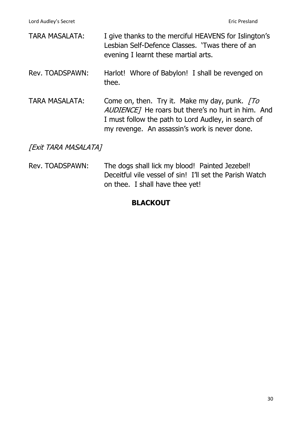| <b>TARA MASALATA:</b> | I give thanks to the merciful HEAVENS for Islington's<br>Lesbian Self-Defence Classes. 'Twas there of an<br>evening I learnt these martial arts.                                                           |
|-----------------------|------------------------------------------------------------------------------------------------------------------------------------------------------------------------------------------------------------|
| Rev. TOADSPAWN:       | Harlot! Whore of Babylon! I shall be revenged on<br>thee.                                                                                                                                                  |
| <b>TARA MASALATA:</b> | Come on, then. Try it. Make my day, punk. To<br>AUDIENCE] He roars but there's no hurt in him. And<br>I must follow the path to Lord Audley, in search of<br>my revenge. An assassin's work is never done. |

[Exit TARA MASALATA]

Rev. TOADSPAWN: The dogs shall lick my blood! Painted Jezebel! Deceitful vile vessel of sin! I'll set the Parish Watch on thee. I shall have thee yet!

#### **BLACKOUT**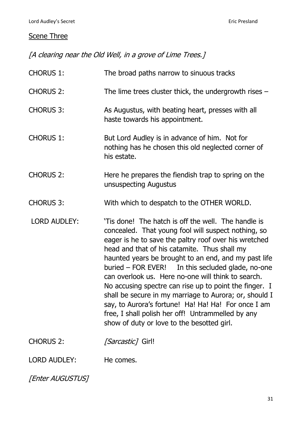# **Scene Three**

[A clearing near the Old Well, in a grove of Lime Trees.]

| <b>CHORUS 1:</b>    | The broad paths narrow to sinuous tracks                                                                                                                                                                                                                                                                                                                                                                                                                                                                                                                                                                                                                             |
|---------------------|----------------------------------------------------------------------------------------------------------------------------------------------------------------------------------------------------------------------------------------------------------------------------------------------------------------------------------------------------------------------------------------------------------------------------------------------------------------------------------------------------------------------------------------------------------------------------------------------------------------------------------------------------------------------|
| <b>CHORUS 2:</b>    | The lime trees cluster thick, the undergrowth rises $-$                                                                                                                                                                                                                                                                                                                                                                                                                                                                                                                                                                                                              |
| <b>CHORUS 3:</b>    | As Augustus, with beating heart, presses with all<br>haste towards his appointment.                                                                                                                                                                                                                                                                                                                                                                                                                                                                                                                                                                                  |
| <b>CHORUS 1:</b>    | But Lord Audley is in advance of him. Not for<br>nothing has he chosen this old neglected corner of<br>his estate.                                                                                                                                                                                                                                                                                                                                                                                                                                                                                                                                                   |
| <b>CHORUS 2:</b>    | Here he prepares the fiendish trap to spring on the<br>unsuspecting Augustus                                                                                                                                                                                                                                                                                                                                                                                                                                                                                                                                                                                         |
| <b>CHORUS 3:</b>    | With which to despatch to the OTHER WORLD.                                                                                                                                                                                                                                                                                                                                                                                                                                                                                                                                                                                                                           |
| <b>LORD AUDLEY:</b> | 'Tis done! The hatch is off the well. The handle is<br>concealed. That young fool will suspect nothing, so<br>eager is he to save the paltry roof over his wretched<br>head and that of his catamite. Thus shall my<br>haunted years be brought to an end, and my past life<br>buried – FOR EVER! In this secluded glade, no-one<br>can overlook us. Here no-one will think to search.<br>No accusing spectre can rise up to point the finger. I<br>shall be secure in my marriage to Aurora; or, should I<br>say, to Aurora's fortune! Ha! Ha! Ha! For once I am<br>free, I shall polish her off! Untrammelled by any<br>show of duty or love to the besotted girl. |
| <b>CHORUS 2:</b>    | [Sarcastic] Girl!                                                                                                                                                                                                                                                                                                                                                                                                                                                                                                                                                                                                                                                    |
| LORD AUDLEY:        | He comes.                                                                                                                                                                                                                                                                                                                                                                                                                                                                                                                                                                                                                                                            |

[Enter AUGUSTUS]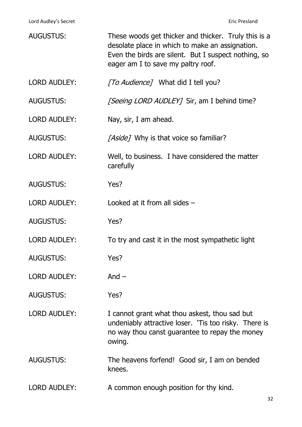Lord Audley's Secret **Example 2018** 2019 12:30 November 2019 12:30 November 2019 12:30 November 2019 12:30 November 2019 12:30 November 2019 12:30 November 2019 12:30 November 2019 12:30 November 2019 12:30 November 2019 1

| <b>AUGUSTUS:</b>    | These woods get thicker and thicker. Truly this is a<br>desolate place in which to make an assignation.<br>Even the birds are silent. But I suspect nothing, so<br>eager am I to save my paltry roof. |
|---------------------|-------------------------------------------------------------------------------------------------------------------------------------------------------------------------------------------------------|
| <b>LORD AUDLEY:</b> | [To Audience] What did I tell you?                                                                                                                                                                    |
| <b>AUGUSTUS:</b>    | <i>[Seeing LORD AUDLEY]</i> Sir, am I behind time?                                                                                                                                                    |
| <b>LORD AUDLEY:</b> | Nay, sir, I am ahead.                                                                                                                                                                                 |
| <b>AUGUSTUS:</b>    | [Aside] Why is that voice so familiar?                                                                                                                                                                |
| <b>LORD AUDLEY:</b> | Well, to business. I have considered the matter<br>carefully                                                                                                                                          |
| <b>AUGUSTUS:</b>    | Yes?                                                                                                                                                                                                  |
| <b>LORD AUDLEY:</b> | Looked at it from all sides $-$                                                                                                                                                                       |
| <b>AUGUSTUS:</b>    | Yes?                                                                                                                                                                                                  |
| <b>LORD AUDLEY:</b> | To try and cast it in the most sympathetic light                                                                                                                                                      |
| <b>AUGUSTUS:</b>    | Yes?                                                                                                                                                                                                  |
| <b>LORD AUDLEY:</b> | And $-$                                                                                                                                                                                               |
| <b>AUGUSTUS:</b>    | Yes?                                                                                                                                                                                                  |
| <b>LORD AUDLEY:</b> | I cannot grant what thou askest, thou sad but<br>undeniably attractive loser. 'Tis too risky. There is<br>no way thou canst guarantee to repay the money<br>owing.                                    |
| <b>AUGUSTUS:</b>    | The heavens forfend! Good sir, I am on bended<br>knees.                                                                                                                                               |
| <b>LORD AUDLEY:</b> | A common enough position for thy kind.                                                                                                                                                                |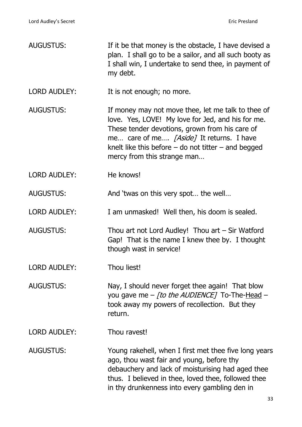| If it be that money is the obstacle, I have devised a<br>plan. I shall go to be a sailor, and all such booty as<br>I shall win, I undertake to send thee, in payment of<br>my debt.                                                                                                             |
|-------------------------------------------------------------------------------------------------------------------------------------------------------------------------------------------------------------------------------------------------------------------------------------------------|
| It is not enough; no more.                                                                                                                                                                                                                                                                      |
| If money may not move thee, let me talk to thee of<br>love. Yes, LOVE! My love for Jed, and his for me.<br>These tender devotions, grown from his care of<br>me care of me [Aside] It returns. I have<br>knelt like this before $-$ do not titter $-$ and begged<br>mercy from this strange man |
| He knows!                                                                                                                                                                                                                                                                                       |
| And 'twas on this very spot the well                                                                                                                                                                                                                                                            |
| I am unmasked! Well then, his doom is sealed.                                                                                                                                                                                                                                                   |
| Thou art not Lord Audley! Thou $art - Sir Wafford$<br>Gap! That is the name I knew thee by. I thought<br>though wast in service!                                                                                                                                                                |
| Thou liest!                                                                                                                                                                                                                                                                                     |
| Nay, I should never forget thee again! That blow<br>you gave me $-$ [to the AUDIENCE] To-The-Head $-$<br>took away my powers of recollection. But they<br>return.                                                                                                                               |
| Thou ravest!                                                                                                                                                                                                                                                                                    |
| Young rakehell, when I first met thee five long years<br>ago, thou wast fair and young, before thy<br>debauchery and lack of moisturising had aged thee<br>thus. I believed in thee, loved thee, followed thee<br>in thy drunkenness into every gambling den in                                 |
|                                                                                                                                                                                                                                                                                                 |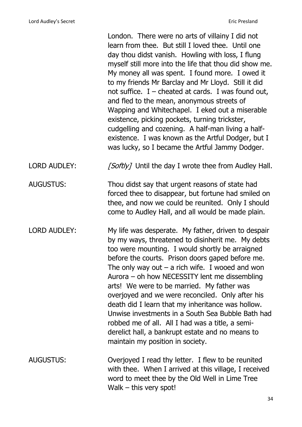|                     | London. There were no arts of villainy I did not<br>learn from thee. But still I loved thee. Until one<br>day thou didst vanish. Howling with loss, I flung<br>myself still more into the life that thou did show me.<br>My money all was spent. I found more. I owed it<br>to my friends Mr Barclay and Mr Lloyd. Still it did<br>not suffice. $I$ – cheated at cards. I was found out,<br>and fled to the mean, anonymous streets of<br>Wapping and Whitechapel. I eked out a miserable<br>existence, picking pockets, turning trickster,<br>cudgelling and cozening. A half-man living a half-<br>existence. I was known as the Artful Dodger, but I<br>was lucky, so I became the Artful Jammy Dodger. |
|---------------------|------------------------------------------------------------------------------------------------------------------------------------------------------------------------------------------------------------------------------------------------------------------------------------------------------------------------------------------------------------------------------------------------------------------------------------------------------------------------------------------------------------------------------------------------------------------------------------------------------------------------------------------------------------------------------------------------------------|
| <b>LORD AUDLEY:</b> | [Softly] Until the day I wrote thee from Audley Hall.                                                                                                                                                                                                                                                                                                                                                                                                                                                                                                                                                                                                                                                      |
| <b>AUGUSTUS:</b>    | Thou didst say that urgent reasons of state had<br>forced thee to disappear, but fortune had smiled on<br>thee, and now we could be reunited. Only I should<br>come to Audley Hall, and all would be made plain.                                                                                                                                                                                                                                                                                                                                                                                                                                                                                           |
| <b>LORD AUDLEY:</b> | My life was desperate. My father, driven to despair<br>by my ways, threatened to disinherit me. My debts<br>too were mounting. I would shortly be arraigned<br>before the courts. Prison doors gaped before me.<br>The only way out $-$ a rich wife. I wooed and won<br>Aurora $-$ oh how NECESSITY lent me dissembling<br>arts! We were to be married. My father was<br>overjoyed and we were reconciled. Only after his<br>death did I learn that my inheritance was hollow.<br>Unwise investments in a South Sea Bubble Bath had<br>robbed me of all. All I had was a title, a semi-<br>derelict hall, a bankrupt estate and no means to<br>maintain my position in society.                            |
| AUGUSTUS:           | Overjoyed I read thy letter. I flew to be reunited<br>with thee. When I arrived at this village, I received<br>word to meet thee by the Old Well in Lime Tree<br>Walk $-$ this very spot!                                                                                                                                                                                                                                                                                                                                                                                                                                                                                                                  |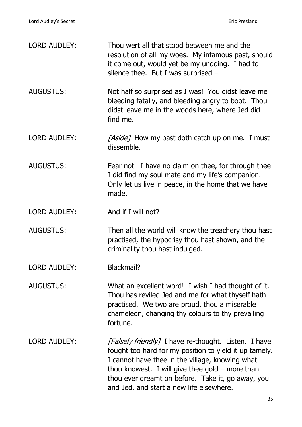| <b>LORD AUDLEY:</b> | Thou wert all that stood between me and the<br>resolution of all my woes. My infamous past, should<br>it come out, would yet be my undoing. I had to<br>silence thee. But I was surprised $-$                                                                                                                           |
|---------------------|-------------------------------------------------------------------------------------------------------------------------------------------------------------------------------------------------------------------------------------------------------------------------------------------------------------------------|
| <b>AUGUSTUS:</b>    | Not half so surprised as I was! You didst leave me<br>bleeding fatally, and bleeding angry to boot. Thou<br>didst leave me in the woods here, where Jed did<br>find me.                                                                                                                                                 |
| <b>LORD AUDLEY:</b> | [Aside] How my past doth catch up on me. I must<br>dissemble.                                                                                                                                                                                                                                                           |
| <b>AUGUSTUS:</b>    | Fear not. I have no claim on thee, for through thee<br>I did find my soul mate and my life's companion.<br>Only let us live in peace, in the home that we have<br>made.                                                                                                                                                 |
| <b>LORD AUDLEY:</b> | And if I will not?                                                                                                                                                                                                                                                                                                      |
| <b>AUGUSTUS:</b>    | Then all the world will know the treachery thou hast<br>practised, the hypocrisy thou hast shown, and the<br>criminality thou hast indulged.                                                                                                                                                                            |
| <b>LORD AUDLEY:</b> | Blackmail?                                                                                                                                                                                                                                                                                                              |
| <b>AUGUSTUS:</b>    | What an excellent word! I wish I had thought of it.<br>Thou has reviled Jed and me for what thyself hath<br>practised. We two are proud, thou a miserable<br>chameleon, changing thy colours to thy prevailing<br>fortune.                                                                                              |
| <b>LORD AUDLEY:</b> | [Falsely friendly] I have re-thought. Listen. I have<br>fought too hard for my position to yield it up tamely.<br>I cannot have thee in the village, knowing what<br>thou knowest. I will give thee gold $-$ more than<br>thou ever dreamt on before. Take it, go away, you<br>and Jed, and start a new life elsewhere. |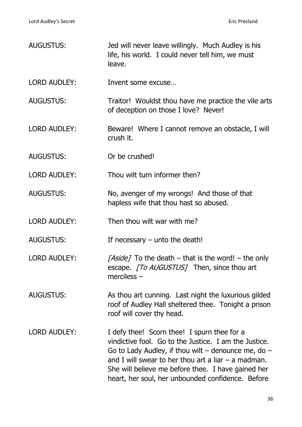| <b>AUGUSTUS:</b>    | Jed will never leave willingly. Much Audley is his<br>life, his world. I could never tell him, we must<br>leave.                                                                                                                                                                                                                    |
|---------------------|-------------------------------------------------------------------------------------------------------------------------------------------------------------------------------------------------------------------------------------------------------------------------------------------------------------------------------------|
| <b>LORD AUDLEY:</b> | Invent some excuse                                                                                                                                                                                                                                                                                                                  |
| <b>AUGUSTUS:</b>    | Traitor! Wouldst thou have me practice the vile arts<br>of deception on those I love? Never!                                                                                                                                                                                                                                        |
| <b>LORD AUDLEY:</b> | Beware! Where I cannot remove an obstacle, I will<br>crush it.                                                                                                                                                                                                                                                                      |
| <b>AUGUSTUS:</b>    | Or be crushed!                                                                                                                                                                                                                                                                                                                      |
| <b>LORD AUDLEY:</b> | Thou wilt turn informer then?                                                                                                                                                                                                                                                                                                       |
| <b>AUGUSTUS:</b>    | No, avenger of my wrongs! And those of that<br>hapless wife that thou hast so abused.                                                                                                                                                                                                                                               |
| <b>LORD AUDLEY:</b> | Then thou wilt war with me?                                                                                                                                                                                                                                                                                                         |
| <b>AUGUSTUS:</b>    | If necessary $-$ unto the death!                                                                                                                                                                                                                                                                                                    |
| <b>LORD AUDLEY:</b> | [Aside] To the death – that is the word! – the only<br>escape. [To AUGUSTUS] Then, since thou art<br>$merciless$ –                                                                                                                                                                                                                  |
| <b>AUGUSTUS:</b>    | As thou art cunning. Last night the luxurious gilded<br>roof of Audley Hall sheltered thee. Tonight a prison<br>roof will cover thy head.                                                                                                                                                                                           |
| <b>LORD AUDLEY:</b> | I defy thee! Scorn thee! I spurn thee for a<br>vindictive fool. Go to the Justice. I am the Justice.<br>Go to Lady Audley, if thou wilt $-$ denounce me, do $-$<br>and I will swear to her thou art a liar $-$ a madman.<br>She will believe me before thee. I have gained her<br>heart, her soul, her unbounded confidence. Before |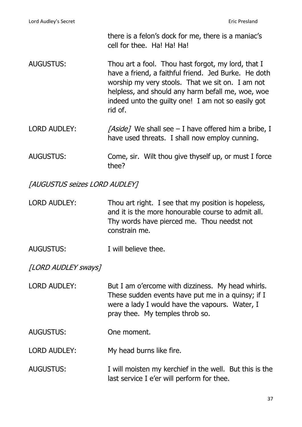there is a felon's dock for me, there is a maniac's cell for thee. Ha! Ha! Ha!

- AUGUSTUS: Thou art a fool. Thou hast forgot, my lord, that I have a friend, a faithful friend. Jed Burke. He doth worship my very stools. That we sit on. I am not helpless, and should any harm befall me, woe, woe indeed unto the guilty one! I am not so easily got rid of.
- LORD AUDLEY:  $[Aside]$  We shall see I have offered him a bribe, I have used threats. I shall now employ cunning.
- AUGUSTUS: Come, sir. Wilt thou give thyself up, or must I force thee?

### [AUGUSTUS seizes LORD AUDLEY]

- LORD AUDLEY: Thou art right. I see that my position is hopeless, and it is the more honourable course to admit all. Thy words have pierced me. Thou needst not constrain me.
- AUGUSTUS: I will believe thee.

[LORD AUDLEY sways]

- LORD AUDLEY: But I am o'ercome with dizziness. My head whirls. These sudden events have put me in a quinsy; if I were a lady I would have the vapours. Water, I pray thee. My temples throb so.
- AUGUSTUS: One moment.

LORD AUDLEY: My head burns like fire.

AUGUSTUS: I will moisten my kerchief in the well. But this is the last service I e'er will perform for thee.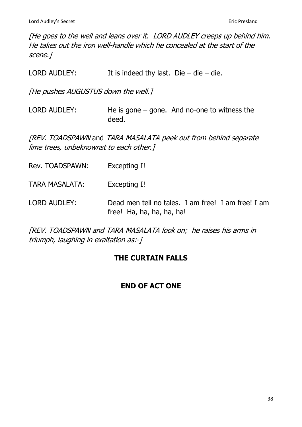[He goes to the well and leans over it. LORD AUDLEY creeps up behind him. He takes out the iron well-handle which he concealed at the start of the scene.]

| <b>LORD AUDLEY:</b>                     | It is indeed thy last. Die $-$ die $-$ die.                                     |
|-----------------------------------------|---------------------------------------------------------------------------------|
| [He pushes AUGUSTUS down the well.]     |                                                                                 |
| <b>LORD AUDLEY:</b>                     | He is gone $-$ gone. And no-one to witness the<br>deed.                         |
| lime trees, unbeknownst to each other.] | [REV. TOADSPAWN and TARA MASALATA peek out from behind separate                 |
| Rev. TOADSPAWN:                         | Excepting I!                                                                    |
| <b>TARA MASALATA:</b>                   | Excepting I!                                                                    |
| LORD AUDLEY:                            | Dead men tell no tales. I am free! I am free! I am<br>free! Ha, ha, ha, ha, ha! |

[REV. TOADSPAWN and TARA MASALATA look on; he raises his arms in triumph, laughing in exaltation as:-]

## **THE CURTAIN FALLS**

# **END OF ACT ONE**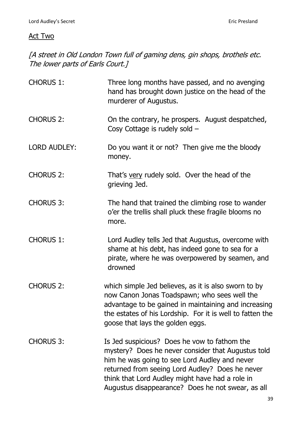## Act Two

[A street in Old London Town full of gaming dens, gin shops, brothels etc. The lower parts of Earls Court.]

| <b>CHORUS 1:</b>    | Three long months have passed, and no avenging<br>hand has brought down justice on the head of the<br>murderer of Augustus.                                                                                                                                                                                    |
|---------------------|----------------------------------------------------------------------------------------------------------------------------------------------------------------------------------------------------------------------------------------------------------------------------------------------------------------|
| <b>CHORUS 2:</b>    | On the contrary, he prospers. August despatched,<br>Cosy Cottage is rudely sold -                                                                                                                                                                                                                              |
| <b>LORD AUDLEY:</b> | Do you want it or not? Then give me the bloody<br>money.                                                                                                                                                                                                                                                       |
| <b>CHORUS 2:</b>    | That's very rudely sold. Over the head of the<br>grieving Jed.                                                                                                                                                                                                                                                 |
| <b>CHORUS 3:</b>    | The hand that trained the climbing rose to wander<br>o'er the trellis shall pluck these fragile blooms no<br>more.                                                                                                                                                                                             |
| <b>CHORUS 1:</b>    | Lord Audley tells Jed that Augustus, overcome with<br>shame at his debt, has indeed gone to sea for a<br>pirate, where he was overpowered by seamen, and<br>drowned                                                                                                                                            |
| <b>CHORUS 2:</b>    | which simple Jed believes, as it is also sworn to by<br>now Canon Jonas Toadspawn; who sees well the<br>advantage to be gained in maintaining and increasing<br>the estates of his Lordship. For it is well to fatten the<br>goose that lays the golden eggs.                                                  |
| <b>CHORUS 3:</b>    | Is Jed suspicious? Does he vow to fathom the<br>mystery? Does he never consider that Augustus told<br>him he was going to see Lord Audley and never<br>returned from seeing Lord Audley? Does he never<br>think that Lord Audley might have had a role in<br>Augustus disappearance? Does he not swear, as all |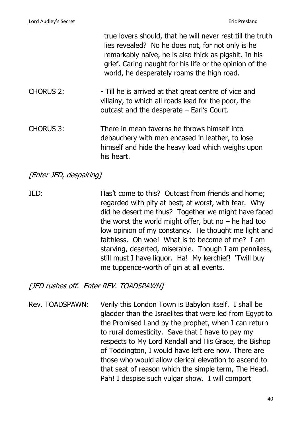|                  | true lovers should, that he will never rest till the truth<br>lies revealed? No he does not, for not only is he<br>remarkably naïve, he is also thick as pigshit. In his<br>grief. Caring naught for his life or the opinion of the<br>world, he desperately roams the high road. |
|------------------|-----------------------------------------------------------------------------------------------------------------------------------------------------------------------------------------------------------------------------------------------------------------------------------|
| <b>CHORUS 2:</b> | - Till he is arrived at that great centre of vice and<br>villainy, to which all roads lead for the poor, the<br>outcast and the desperate $-$ Earl's Court.                                                                                                                       |
| <b>CHORUS 3:</b> | There in mean taverns he throws himself into<br>debauchery with men encased in leather, to lose<br>himself and hide the heavy load which weighs upon<br>his heart.                                                                                                                |

## [Enter JED, despairing]

JED: Has't come to this? Outcast from friends and home; regarded with pity at best; at worst, with fear. Why did he desert me thus? Together we might have faced the worst the world might offer, but no  $-$  he had too low opinion of my constancy. He thought me light and faithless. Oh woe! What is to become of me? I am starving, deserted, miserable. Though I am penniless, still must I have liquor. Ha! My kerchief! 'Twill buy me tuppence-worth of gin at all events.

# [JED rushes off. Enter REV. TOADSPAWN]

Rev. TOADSPAWN: Verily this London Town is Babylon itself. I shall be gladder than the Israelites that were led from Egypt to the Promised Land by the prophet, when I can return to rural domesticity. Save that I have to pay my respects to My Lord Kendall and His Grace, the Bishop of Toddington, I would have left ere now. There are those who would allow clerical elevation to ascend to that seat of reason which the simple term, The Head. Pah! I despise such vulgar show. I will comport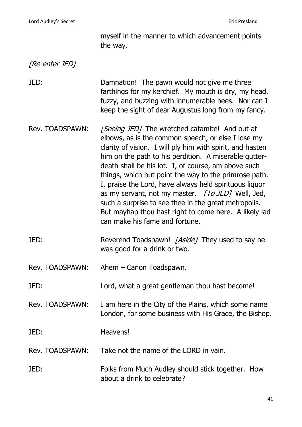myself in the manner to which advancement points the way.

## [Re-enter JED]

JED: Damnation! The pawn would not give me three farthings for my kerchief. My mouth is dry, my head, fuzzy, and buzzing with innumerable bees. Nor can I keep the sight of dear Augustus long from my fancy.

- Rev. TOADSPAWN: [Seeing JED] The wretched catamite! And out at elbows, as is the common speech, or else I lose my clarity of vision. I will ply him with spirit, and hasten him on the path to his perdition. A miserable gutterdeath shall be his lot. I, of course, am above such things, which but point the way to the primrose path. I, praise the Lord, have always held spirituous liquor as my servant, not my master.  $\sqrt{TOJED}$  Well, Jed, such a surprise to see thee in the great metropolis. But mayhap thou hast right to come here. A likely lad can make his fame and fortune.
- JED: Reverend Toadspawn! [Aside] They used to say he was good for a drink or two.
- Rev. TOADSPAWN: Ahem Canon Toadspawn.
- JED: Lord, what a great gentleman thou hast become!
- Rev. TOADSPAWN: I am here in the City of the Plains, which some name London, for some business with His Grace, the Bishop.

JED: Heavens!

Rev. TOADSPAWN: Take not the name of the LORD in vain.

JED: Folks from Much Audley should stick together. How about a drink to celebrate?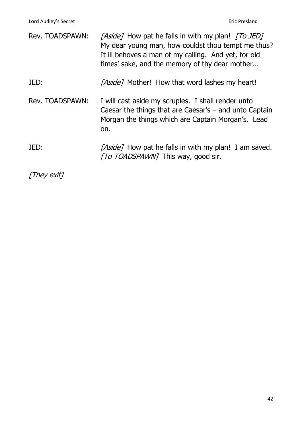| Rev. TOADSPAWN: | <i>[Aside]</i> How pat he falls in with my plan! <i>[To JED]</i><br>My dear young man, how couldst thou tempt me thus?<br>It ill behoves a man of my calling. And yet, for old<br>times' sake, and the memory of thy dear mother |
|-----------------|----------------------------------------------------------------------------------------------------------------------------------------------------------------------------------------------------------------------------------|
| JED:            | [Aside] Mother! How that word lashes my heart!                                                                                                                                                                                   |
| Rev. TOADSPAWN: | I will cast aside my scruples. I shall render unto<br>Caesar the things that are Caesar's $-$ and unto Captain<br>Morgan the things which are Captain Morgan's. Lead<br>on.                                                      |
| JED:            | <i>[Aside]</i> How pat he falls in with my plan! I am saved.<br><i>[To TOADSPAWN]</i> This way, good sir.                                                                                                                        |

[They exit]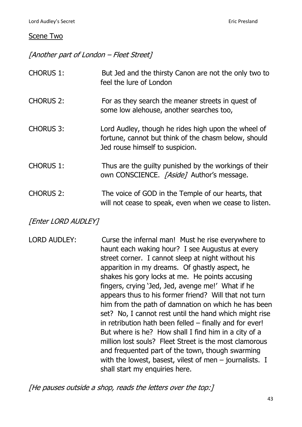### Scene Two

[Another part of London – Fleet Street]

| <b>CHORUS 1:</b> | But Jed and the thirsty Canon are not the only two to<br>feel the lure of London                                                               |
|------------------|------------------------------------------------------------------------------------------------------------------------------------------------|
| <b>CHORUS 2:</b> | For as they search the meaner streets in quest of<br>some low alehouse, another searches too,                                                  |
| <b>CHORUS 3:</b> | Lord Audley, though he rides high upon the wheel of<br>fortune, cannot but think of the chasm below, should<br>Jed rouse himself to suspicion. |
| <b>CHORUS 1:</b> | Thus are the guilty punished by the workings of their<br>own CONSCIENCE. [Aside] Author's message.                                             |
| <b>CHORUS 2:</b> | The voice of GOD in the Temple of our hearts, that<br>will not cease to speak, even when we cease to listen.                                   |

**[Enter LORD AUDLEY]** 

LORD AUDLEY: Curse the infernal man! Must he rise everywhere to haunt each waking hour? I see Augustus at every street corner. I cannot sleep at night without his apparition in my dreams. Of ghastly aspect, he shakes his gory locks at me. He points accusing fingers, crying 'Jed, Jed, avenge me!' What if he appears thus to his former friend? Will that not turn him from the path of damnation on which he has been set? No, I cannot rest until the hand which might rise in retribution hath been felled – finally and for ever! But where is he? How shall I find him in a city of a million lost souls? Fleet Street is the most clamorous and frequented part of the town, though swarming with the lowest, basest, vilest of men - journalists. I shall start my enquiries here.

[He pauses outside a shop, reads the letters over the top:]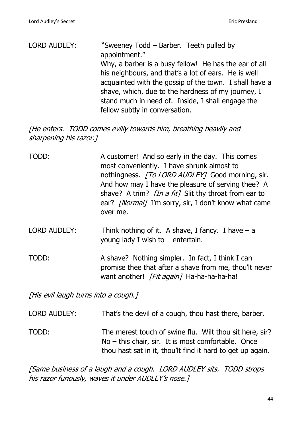| LORD AUDLEY: | "Sweeney Todd - Barber. Teeth pulled by                |
|--------------|--------------------------------------------------------|
|              | appointment."                                          |
|              | Why, a barber is a busy fellow! He has the ear of all  |
|              | his neighbours, and that's a lot of ears. He is well   |
|              | acquainted with the gossip of the town. I shall have a |
|              | shave, which, due to the hardness of my journey, I     |
|              | stand much in need of. Inside, I shall engage the      |
|              | fellow subtly in conversation.                         |

[He enters. TODD comes evilly towards him, breathing heavily and sharpening his razor.]

| TODD:                                | A customer! And so early in the day. This comes<br>most conveniently. I have shrunk almost to<br>nothingness. [To LORD AUDLEY] Good morning, sir.<br>And how may I have the pleasure of serving thee? A<br>shave? A trim? <i>[In a fit]</i> Slit thy throat from ear to<br>ear? <i>[Normal]</i> I'm sorry, sir, I don't know what came<br>over me. |
|--------------------------------------|----------------------------------------------------------------------------------------------------------------------------------------------------------------------------------------------------------------------------------------------------------------------------------------------------------------------------------------------------|
| <b>LORD AUDLEY:</b>                  | Think nothing of it. A shave, I fancy. I have $-$ a<br>young lady I wish to $-$ entertain.                                                                                                                                                                                                                                                         |
| TODD:                                | A shave? Nothing simpler. In fact, I think I can<br>promise thee that after a shave from me, thou'lt never<br>want another! [Fit again] Ha-ha-ha-ha-ha!                                                                                                                                                                                            |
| [His evil laugh turns into a cough.] |                                                                                                                                                                                                                                                                                                                                                    |
| <b>LORD AUDLEY:</b>                  | That's the devil of a cough, thou hast there, barber.                                                                                                                                                                                                                                                                                              |

TODD: The merest touch of swine flu. Wilt thou sit here, sir? No – this chair, sir. It is most comfortable. Once thou hast sat in it, thou'lt find it hard to get up again.

[Same business of a laugh and a cough. LORD AUDLEY sits. TODD strops his razor furiously, waves it under AUDLEY's nose.]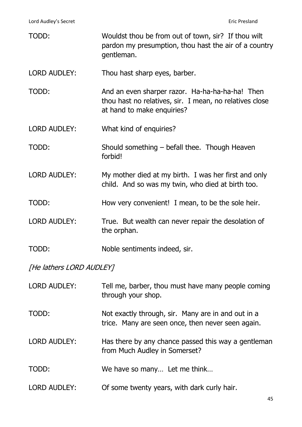Lord Audley's Secret **Example 2018** Eric Presland

| TODD:                    | Wouldst thou be from out of town, sir? If thou wilt<br>pardon my presumption, thou hast the air of a country<br>gentleman.               |
|--------------------------|------------------------------------------------------------------------------------------------------------------------------------------|
| <b>LORD AUDLEY:</b>      | Thou hast sharp eyes, barber.                                                                                                            |
| TODD:                    | And an even sharper razor. Ha-ha-ha-ha-ha! Then<br>thou hast no relatives, sir. I mean, no relatives close<br>at hand to make enquiries? |
| <b>LORD AUDLEY:</b>      | What kind of enquiries?                                                                                                                  |
| TODD:                    | Should something – befall thee. Though Heaven<br>forbid!                                                                                 |
| <b>LORD AUDLEY:</b>      | My mother died at my birth. I was her first and only<br>child. And so was my twin, who died at birth too.                                |
| TODD:                    | How very convenient! I mean, to be the sole heir.                                                                                        |
| <b>LORD AUDLEY:</b>      | True. But wealth can never repair the desolation of<br>the orphan.                                                                       |
| TODD:                    | Noble sentiments indeed, sir.                                                                                                            |
| [He lathers LORD AUDLEY] |                                                                                                                                          |

| <b>LORD AUDLEY:</b> | Tell me, barber, thou must have many people coming<br>through your shop.                                |
|---------------------|---------------------------------------------------------------------------------------------------------|
| TODD:               | Not exactly through, sir. Many are in and out in a<br>trice. Many are seen once, then never seen again. |
| <b>LORD AUDLEY:</b> | Has there by any chance passed this way a gentleman<br>from Much Audley in Somerset?                    |
| TODD:               | We have so many Let me think                                                                            |
| <b>LORD AUDLEY:</b> | Of some twenty years, with dark curly hair.                                                             |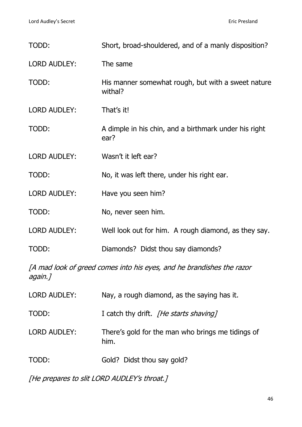| TODD:               | Short, broad-shouldered, and of a manly disposition?                  |
|---------------------|-----------------------------------------------------------------------|
| <b>LORD AUDLEY:</b> | The same                                                              |
| TODD:               | His manner somewhat rough, but with a sweet nature<br>withal?         |
| <b>LORD AUDLEY:</b> | That's it!                                                            |
| TODD:               | A dimple in his chin, and a birthmark under his right<br>ear?         |
| <b>LORD AUDLEY:</b> | Wasn't it left ear?                                                   |
| TODD:               | No, it was left there, under his right ear.                           |
| <b>LORD AUDLEY:</b> | Have you seen him?                                                    |
| TODD:               | No, never seen him.                                                   |
| <b>LORD AUDLEY:</b> | Well look out for him. A rough diamond, as they say.                  |
| TODD:               | Diamonds? Didst thou say diamonds?                                    |
| again.]             | [A mad look of greed comes into his eyes, and he brandishes the razor |

| <b>LORD AUDLEY:</b> | Nay, a rough diamond, as the saying has it.               |
|---------------------|-----------------------------------------------------------|
| TODD:               | I catch thy drift. <i>[He starts shaving]</i>             |
| <b>LORD AUDLEY:</b> | There's gold for the man who brings me tidings of<br>him. |
| TODD:               | Gold? Didst thou say gold?                                |

[He prepares to slit LORD AUDLEY's throat.]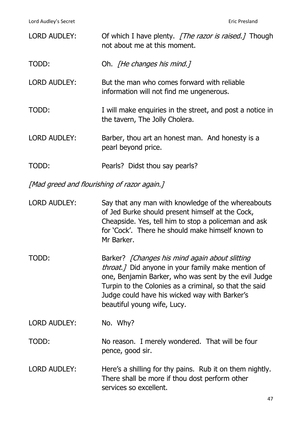| <b>LORD AUDLEY:</b>                         | Of which I have plenty. <i>The razor is raised.</i> Though<br>not about me at this moment.                                                                                                                          |  |
|---------------------------------------------|---------------------------------------------------------------------------------------------------------------------------------------------------------------------------------------------------------------------|--|
| TODD:                                       | Oh. <i>[He changes his mind.]</i>                                                                                                                                                                                   |  |
| <b>LORD AUDLEY:</b>                         | But the man who comes forward with reliable<br>information will not find me ungenerous.                                                                                                                             |  |
| TODD:                                       | I will make enquiries in the street, and post a notice in<br>the tavern, The Jolly Cholera.                                                                                                                         |  |
| <b>LORD AUDLEY:</b>                         | Barber, thou art an honest man. And honesty is a<br>pearl beyond price.                                                                                                                                             |  |
| TODD:                                       | Pearls? Didst thou say pearls?                                                                                                                                                                                      |  |
| [Mad greed and flourishing of razor again.] |                                                                                                                                                                                                                     |  |
| <b>LORD AUDLEY:</b>                         | Say that any man with knowledge of the whereabouts<br>of Jed Burke should present himself at the Cock,<br>Cheapside. Yes, tell him to stop a policeman and ask<br>for 'Cock'. There he should make himself known to |  |

TODD: Barker? [Changes his mind again about slitting throat. 7 Did anyone in your family make mention of one, Benjamin Barker, who was sent by the evil Judge Turpin to the Colonies as a criminal, so that the said Judge could have his wicked way with Barker's beautiful young wife, Lucy.

Mr Barker.

LORD AUDLEY: No. Why?

TODD: No reason. I merely wondered. That will be four pence, good sir.

LORD AUDLEY: Here's a shilling for thy pains. Rub it on them nightly. There shall be more if thou dost perform other services so excellent.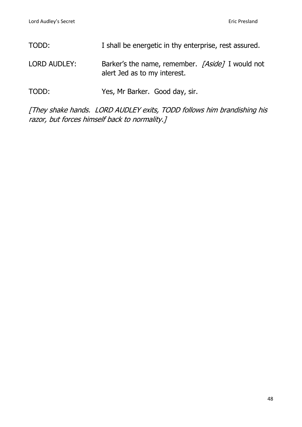| TODD:        | I shall be energetic in thy enterprise, rest assured.                            |
|--------------|----------------------------------------------------------------------------------|
| LORD AUDLEY: | Barker's the name, remember. [Aside] I would not<br>alert Jed as to my interest. |
| TODD:        | Yes, Mr Barker. Good day, sir.                                                   |

[They shake hands. LORD AUDLEY exits, TODD follows him brandishing his razor, but forces himself back to normality.]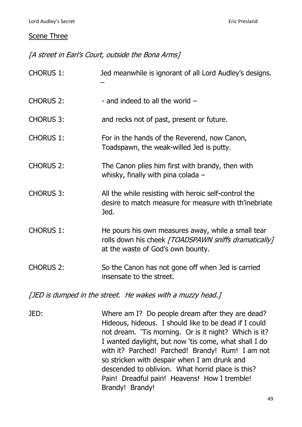### **Scene Three**

[A street in Earl's Court, outside the Bona Arms]

| <b>CHORUS 1:</b> | Jed meanwhile is ignorant of all Lord Audley's designs.                                                                                         |
|------------------|-------------------------------------------------------------------------------------------------------------------------------------------------|
| <b>CHORUS 2:</b> | - and indeed to all the world $-$                                                                                                               |
| <b>CHORUS 3:</b> | and recks not of past, present or future.                                                                                                       |
| <b>CHORUS 1:</b> | For in the hands of the Reverend, now Canon,<br>Toadspawn, the weak-willed Jed is putty.                                                        |
| <b>CHORUS 2:</b> | The Canon plies him first with brandy, then with<br>whisky, finally with pina colada $-$                                                        |
| <b>CHORUS 3:</b> | All the while resisting with heroic self-control the<br>desire to match measure for measure with th'inebriate<br>Jed.                           |
| <b>CHORUS 1:</b> | He pours his own measures away, while a small tear<br>rolls down his cheek [TOADSPAWN sniffs dramatically]<br>at the waste of God's own bounty. |
| <b>CHORUS 2:</b> | So the Canon has not gone off when Jed is carried<br>insensate to the street.                                                                   |

[JED is dumped in the street. He wakes with a muzzy head.]

JED: Where am I? Do people dream after they are dead? Hideous, hideous. I should like to be dead if I could not dream. 'Tis morning. Or is it night? Which is it? I wanted daylight, but now 'tis come, what shall I do with it? Parched! Parched! Brandy! Rum! I am not so stricken with despair when I am drunk and descended to oblivion. What horrid place is this? Pain! Dreadful pain! Heavens! How I tremble! Brandy! Brandy!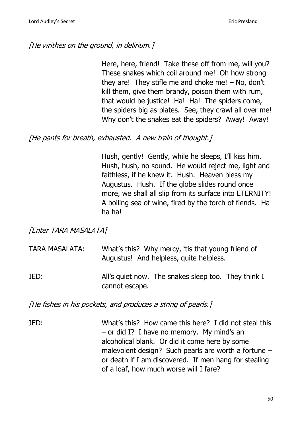## [He writhes on the ground, in delirium.]

Here, here, friend! Take these off from me, will you? These snakes which coil around me! Oh how strong they are! They stifle me and choke me! – No, don't kill them, give them brandy, poison them with rum, that would be justice! Ha! Ha! The spiders come, the spiders big as plates. See, they crawl all over me! Why don't the snakes eat the spiders? Away! Away!

### [He pants for breath, exhausted. A new train of thought,]

Hush, gently! Gently, while he sleeps, I'll kiss him. Hush, hush, no sound. He would reject me, light and faithless, if he knew it. Hush. Heaven bless my Augustus. Hush. If the globe slides round once more, we shall all slip from its surface into ETERNITY! A boiling sea of wine, fired by the torch of fiends. Ha ha ha!

[Enter TARA MASALATA]

| <b>TARA MASALATA:</b> | What's this? Why mercy, 'tis that young friend of |
|-----------------------|---------------------------------------------------|
|                       | Augustus! And helpless, quite helpless.           |
|                       |                                                   |

JED: All's quiet now. The snakes sleep too. They think I cannot escape.

[He fishes in his pockets, and produces a string of pearls.]

JED: What's this? How came this here? I did not steal this – or did I? I have no memory. My mind's an alcoholical blank. Or did it come here by some malevolent design? Such pearls are worth a fortune – or death if I am discovered. If men hang for stealing of a loaf, how much worse will I fare?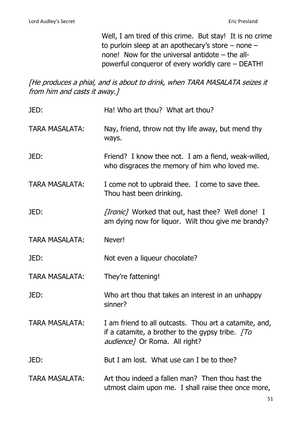Well, I am tired of this crime. But stay! It is no crime to purloin sleep at an apothecary's store – none – none! Now for the universal antidote – the allpowerful conqueror of every worldly care – DEATH!

[He produces a phial, and is about to drink, when TARA MASALATA seizes it from him and casts it away.]

| JED:                  | Ha! Who art thou? What art thou?                                                                                                                       |
|-----------------------|--------------------------------------------------------------------------------------------------------------------------------------------------------|
| <b>TARA MASALATA:</b> | Nay, friend, throw not thy life away, but mend thy<br>ways.                                                                                            |
| JED:                  | Friend? I know thee not. I am a fiend, weak-willed,<br>who disgraces the memory of him who loved me.                                                   |
| <b>TARA MASALATA:</b> | I come not to upbraid thee. I come to save thee.<br>Thou hast been drinking.                                                                           |
| JED:                  | <i>[Ironic]</i> Worked that out, hast thee? Well done! I<br>am dying now for liquor. Wilt thou give me brandy?                                         |
| <b>TARA MASALATA:</b> | Never!                                                                                                                                                 |
| JED:                  | Not even a liqueur chocolate?                                                                                                                          |
| <b>TARA MASALATA:</b> | They're fattening!                                                                                                                                     |
| JED:                  | Who art thou that takes an interest in an unhappy<br>sinner?                                                                                           |
|                       |                                                                                                                                                        |
| <b>TARA MASALATA:</b> | I am friend to all outcasts. Thou art a catamite, and,<br>if a catamite, a brother to the gypsy tribe. $[To]$<br><i>audience</i> ] Or Roma. All right? |
| JED:                  | But I am lost. What use can I be to thee?                                                                                                              |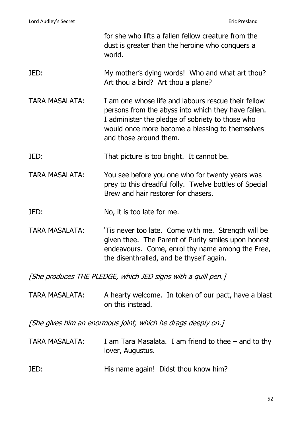|                                                              | for she who lifts a fallen fellow creature from the<br>dust is greater than the heroine who conquers a<br>world.                                                                                                                            |  |
|--------------------------------------------------------------|---------------------------------------------------------------------------------------------------------------------------------------------------------------------------------------------------------------------------------------------|--|
| JED:                                                         | My mother's dying words! Who and what art thou?<br>Art thou a bird? Art thou a plane?                                                                                                                                                       |  |
| <b>TARA MASALATA:</b>                                        | I am one whose life and labours rescue their fellow<br>persons from the abyss into which they have fallen.<br>I administer the pledge of sobriety to those who<br>would once more become a blessing to themselves<br>and those around them. |  |
| JED:                                                         | That picture is too bright. It cannot be.                                                                                                                                                                                                   |  |
| <b>TARA MASALATA:</b>                                        | You see before you one who for twenty years was<br>prey to this dreadful folly. Twelve bottles of Special<br>Brew and hair restorer for chasers.                                                                                            |  |
| JED:                                                         | No, it is too late for me.                                                                                                                                                                                                                  |  |
| <b>TARA MASALATA:</b>                                        | 'Tis never too late. Come with me. Strength will be<br>given thee. The Parent of Purity smiles upon honest<br>endeavours. Come, enrol thy name among the Free,<br>the disenthralled, and be thyself again.                                  |  |
|                                                              | [She produces THE PLEDGE, which JED signs with a quill pen.]                                                                                                                                                                                |  |
| <b>TARA MASALATA:</b>                                        | A hearty welcome. In token of our pact, have a blast<br>on this instead.                                                                                                                                                                    |  |
| [She gives him an enormous joint, which he drags deeply on.] |                                                                                                                                                                                                                                             |  |
| <b>TARA MASALATA:</b>                                        | I am Tara Masalata. I am friend to thee $-$ and to thy<br>lover, Augustus.                                                                                                                                                                  |  |
| JED:                                                         | His name again! Didst thou know him?                                                                                                                                                                                                        |  |

52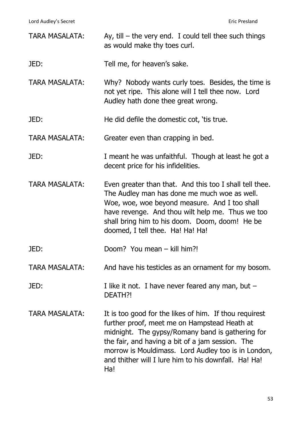Lord Audley's Secret **Example 2018** Eric Presland

| <b>TARA MASALATA:</b> | Ay, till $-$ the very end. I could tell thee such things<br>as would make thy toes curl.                                                                                                                                                                                                                                             |
|-----------------------|--------------------------------------------------------------------------------------------------------------------------------------------------------------------------------------------------------------------------------------------------------------------------------------------------------------------------------------|
| JED:                  | Tell me, for heaven's sake.                                                                                                                                                                                                                                                                                                          |
| <b>TARA MASALATA:</b> | Why? Nobody wants curly toes. Besides, the time is<br>not yet ripe. This alone will I tell thee now. Lord<br>Audley hath done thee great wrong.                                                                                                                                                                                      |
| JED:                  | He did defile the domestic cot, 'tis true.                                                                                                                                                                                                                                                                                           |
| <b>TARA MASALATA:</b> | Greater even than crapping in bed.                                                                                                                                                                                                                                                                                                   |
| JED:                  | I meant he was unfaithful. Though at least he got a<br>decent price for his infidelities.                                                                                                                                                                                                                                            |
| <b>TARA MASALATA:</b> | Even greater than that. And this too I shall tell thee.<br>The Audley man has done me much woe as well.<br>Woe, woe, woe beyond measure. And I too shall<br>have revenge. And thou wilt help me. Thus we too<br>shall bring him to his doom. Doom, doom! He be<br>doomed, I tell thee. Ha! Ha! Ha!                                   |
| JED:                  | Doom? You mean - kill him?!                                                                                                                                                                                                                                                                                                          |
| <b>TARA MASALATA:</b> | And have his testicles as an ornament for my bosom.                                                                                                                                                                                                                                                                                  |
| JED:                  | I like it not. I have never feared any man, but $-$<br>DEATH?!                                                                                                                                                                                                                                                                       |
| TARA MASALATA:        | It is too good for the likes of him. If thou requirest<br>further proof, meet me on Hampstead Heath at<br>midnight. The gypsy/Romany band is gathering for<br>the fair, and having a bit of a jam session. The<br>morrow is Mouldimass. Lord Audley too is in London,<br>and thither will I lure him to his downfall. Ha! Ha!<br>Ha! |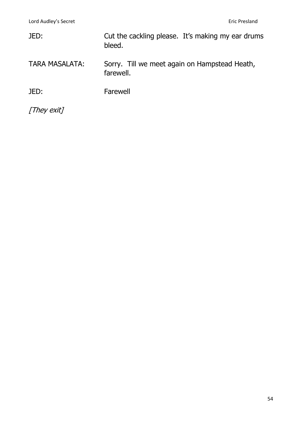| JED:                  | Cut the cackling please. It's making my ear drums<br>bleed. |
|-----------------------|-------------------------------------------------------------|
| <b>TARA MASALATA:</b> | Sorry. Till we meet again on Hampstead Heath,<br>farewell.  |
| JED:                  | Farewell                                                    |
| [They exit]           |                                                             |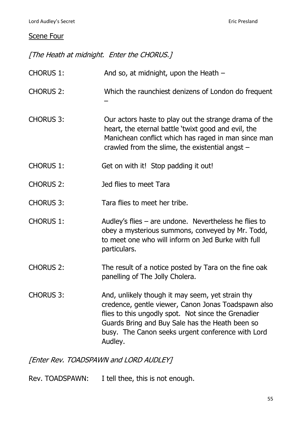### Scene Four

[The Heath at midnight. Enter the CHORUS.]

CHORUS 1: And so, at midnight, upon the Heath –

- CHORUS 2: Which the raunchiest denizens of London do frequent –
- CHORUS 3: Our actors haste to play out the strange drama of the heart, the eternal battle 'twixt good and evil, the Manichean conflict which has raged in man since man crawled from the slime, the existential angst –
- CHORUS 1: Get on with it! Stop padding it out!
- CHORUS 2: Jed flies to meet Tara
- CHORUS 3: Tara flies to meet her tribe.
- CHORUS 1: Audley's flies are undone. Nevertheless he flies to obey a mysterious summons, conveyed by Mr. Todd, to meet one who will inform on Jed Burke with full particulars.
- CHORUS 2: The result of a notice posted by Tara on the fine oak panelling of The Jolly Cholera.
- CHORUS 3: And, unlikely though it may seem, yet strain thy credence, gentle viewer, Canon Jonas Toadspawn also flies to this ungodly spot. Not since the Grenadier Guards Bring and Buy Sale has the Heath been so busy. The Canon seeks urgent conference with Lord Audley.

[Enter Rev. TOADSPAWN and LORD AUDLEY]

Rev. TOADSPAWN: I tell thee, this is not enough.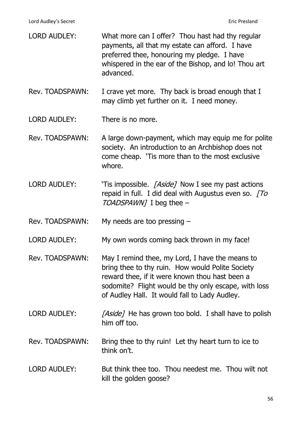Lord Audley's Secret **Example 2018** 2019 12:30 November 2019 12:30 November 2019 12:30 November 2019 12:30 November 2019

| <b>LORD AUDLEY:</b> | What more can I offer? Thou hast had thy regular<br>payments, all that my estate can afford. I have<br>preferred thee, honouring my pledge. I have<br>whispered in the ear of the Bishop, and lo! Thou art<br>advanced.                                        |
|---------------------|----------------------------------------------------------------------------------------------------------------------------------------------------------------------------------------------------------------------------------------------------------------|
| Rev. TOADSPAWN:     | I crave yet more. Thy back is broad enough that I<br>may climb yet further on it. I need money.                                                                                                                                                                |
| <b>LORD AUDLEY:</b> | There is no more.                                                                                                                                                                                                                                              |
| Rev. TOADSPAWN:     | A large down-payment, which may equip me for polite<br>society. An introduction to an Archbishop does not<br>come cheap. 'Tis more than to the most exclusive<br>whore.                                                                                        |
| <b>LORD AUDLEY:</b> | 'Tis impossible. [Aside] Now I see my past actions<br>repaid in full. I did deal with Augustus even so. $[To]$<br>TOADSPAWN] I beg thee -                                                                                                                      |
| Rev. TOADSPAWN:     | My needs are too pressing $-$                                                                                                                                                                                                                                  |
| <b>LORD AUDLEY:</b> | My own words coming back thrown in my face!                                                                                                                                                                                                                    |
| Rev. TOADSPAWN:     | May I remind thee, my Lord, I have the means to<br>bring thee to thy ruin. How would Polite Society<br>reward thee, if it were known thou hast been a<br>sodomite? Flight would be thy only escape, with loss<br>of Audley Hall. It would fall to Lady Audley. |
| <b>LORD AUDLEY:</b> | [Aside] He has grown too bold. I shall have to polish<br>him off too.                                                                                                                                                                                          |
| Rev. TOADSPAWN:     | Bring thee to thy ruin! Let thy heart turn to ice to<br>think on't.                                                                                                                                                                                            |
| <b>LORD AUDLEY:</b> | But think thee too. Thou needest me. Thou wilt not<br>kill the golden goose?                                                                                                                                                                                   |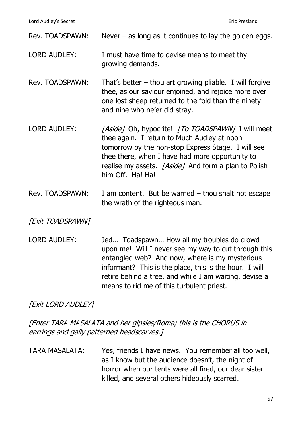| Rev. TOADSPAWN:     | Never $-$ as long as it continues to lay the golden eggs.                                                                                                                                                                                                                                           |
|---------------------|-----------------------------------------------------------------------------------------------------------------------------------------------------------------------------------------------------------------------------------------------------------------------------------------------------|
| <b>LORD AUDLEY:</b> | I must have time to devise means to meet thy<br>growing demands.                                                                                                                                                                                                                                    |
| Rev. TOADSPAWN:     | That's better $-$ thou art growing pliable. I will forgive<br>thee, as our saviour enjoined, and rejoice more over<br>one lost sheep returned to the fold than the ninety<br>and nine who ne'er did stray.                                                                                          |
| <b>LORD AUDLEY:</b> | <i>[Aside]</i> Oh, hypocrite! <i>[To TOADSPAWN]</i> I will meet<br>thee again. I return to Much Audley at noon<br>tomorrow by the non-stop Express Stage. I will see<br>thee there, when I have had more opportunity to<br>realise my assets. [Aside] And form a plan to Polish<br>him Off. Ha! Ha! |
| Rev. TOADSPAWN:     | I am content. But be warned $-$ thou shalt not escape<br>the wrath of the righteous man.                                                                                                                                                                                                            |

**[Exit TOADSPAWN]** 

LORD AUDLEY: Jed... Toadspawn... How all my troubles do crowd upon me! Will I never see my way to cut through this entangled web? And now, where is my mysterious informant? This is the place, this is the hour. I will retire behind a tree, and while I am waiting, devise a means to rid me of this turbulent priest.

[Exit LORD AUDLEY]

[Enter TARA MASALATA and her gipsies/Roma; this is the CHORUS in earrings and gaily patterned headscarves.]

TARA MASALATA: Yes, friends I have news. You remember all too well, as I know but the audience doesn't, the night of horror when our tents were all fired, our dear sister killed, and several others hideously scarred.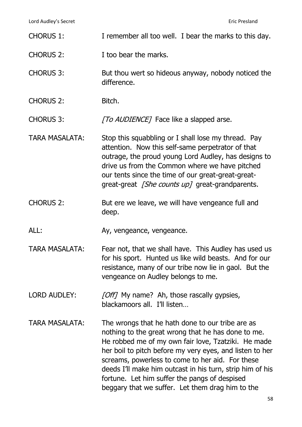Lord Audley's Secret **Eric Presland** 

- CHORUS 1: I remember all too well. I bear the marks to this day.
- CHORUS 2: I too bear the marks.
- CHORUS 3: But thou wert so hideous anyway, nobody noticed the difference.
- CHORUS 2: Bitch.
- CHORUS 3: [To AUDIENCE] Face like a slapped arse.

TARA MASALATA: Stop this squabbling or I shall lose my thread. Pay attention. Now this self-same perpetrator of that outrage, the proud young Lord Audley, has designs to drive us from the Common where we have pitched our tents since the time of our great-great-greatgreat-great *[She counts up]* great-grandparents.

- CHORUS 2: But ere we leave, we will have vengeance full and deep.
- ALL: Ay, vengeance, vengeance.
- TARA MASALATA: Fear not, that we shall have. This Audley has used us for his sport. Hunted us like wild beasts. And for our resistance, many of our tribe now lie in gaol. But the vengeance on Audley belongs to me.
- LORD AUDLEY: [Off] My name? Ah, those rascally gypsies, blackamoors all. I'll listen…
- TARA MASALATA: The wrongs that he hath done to our tribe are as nothing to the great wrong that he has done to me. He robbed me of my own fair love, Tzatziki. He made her boil to pitch before my very eyes, and listen to her screams, powerless to come to her aid. For these deeds I'll make him outcast in his turn, strip him of his fortune. Let him suffer the pangs of despised beggary that we suffer. Let them drag him to the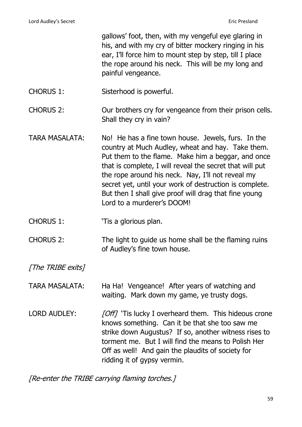gallows' foot, then, with my vengeful eye glaring in his, and with my cry of bitter mockery ringing in his ear, I'll force him to mount step by step, till I place the rope around his neck. This will be my long and painful vengeance.

CHORUS 1: Sisterhood is powerful.

CHORUS 2: Our brothers cry for vengeance from their prison cells. Shall they cry in vain?

- TARA MASALATA: No! He has a fine town house. Jewels, furs. In the country at Much Audley, wheat and hay. Take them. Put them to the flame. Make him a beggar, and once that is complete, I will reveal the secret that will put the rope around his neck. Nay, I'll not reveal my secret yet, until your work of destruction is complete. But then I shall give proof will drag that fine young Lord to a murderer's DOOM!
- CHORUS 1: <sup>'Tis a glorious plan.</sup>
- CHORUS 2: The light to guide us home shall be the flaming ruins of Audley's fine town house.

[The TRIBE exits]

TARA MASALATA: Ha Ha! Vengeance! After years of watching and waiting. Mark down my game, ye trusty dogs.

LORD AUDLEY: [Off] 'Tis lucky I overheard them. This hideous crone knows something. Can it be that she too saw me strike down Augustus? If so, another witness rises to torment me. But I will find the means to Polish Her Off as well! And gain the plaudits of society for ridding it of gypsy vermin.

[Re-enter the TRIBE carrying flaming torches.]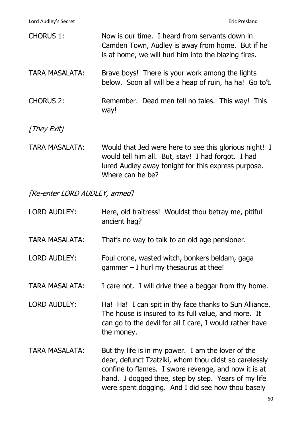| <b>CHORUS 1:</b>      | Now is our time. I heard from servants down in<br>Camden Town, Audley is away from home. But if he<br>is at home, we will hurl him into the blazing fires. |
|-----------------------|------------------------------------------------------------------------------------------------------------------------------------------------------------|
| <b>TARA MASALATA:</b> | Brave boys! There is your work among the lights<br>below. Soon all will be a heap of ruin, ha ha! Go to't.                                                 |
| <b>CHORUS 2:</b>      | Remember. Dead men tell no tales. This way! This<br>way!                                                                                                   |
| [They Exit]           |                                                                                                                                                            |
| <b>TARA MASALATA:</b> | Would that Jed were here to see this glorious night! I<br>المعط T المعصد على القام الربعة من الله على المطالحان بمرزر                                      |

would tell him all. But, stay! I had forgot. I had lured Audley away tonight for this express purpose. Where can he be?

[Re-enter LORD AUDLEY, armed]

| <b>LORD AUDLEY:</b>   | Here, old traitress! Wouldst thou betray me, pitiful<br>ancient hag?                                                                                                                                                                                                            |
|-----------------------|---------------------------------------------------------------------------------------------------------------------------------------------------------------------------------------------------------------------------------------------------------------------------------|
| <b>TARA MASALATA:</b> | That's no way to talk to an old age pensioner.                                                                                                                                                                                                                                  |
| <b>LORD AUDLEY:</b>   | Foul crone, wasted witch, bonkers beldam, gaga<br>gammer $-$ I hurl my thesaurus at thee!                                                                                                                                                                                       |
| <b>TARA MASALATA:</b> | I care not. I will drive thee a beggar from thy home.                                                                                                                                                                                                                           |
| <b>LORD AUDLEY:</b>   | Ha! Ha! I can spit in thy face thanks to Sun Alliance.<br>The house is insured to its full value, and more. It<br>can go to the devil for all I care, I would rather have<br>the money.                                                                                         |
| <b>TARA MASALATA:</b> | But thy life is in my power. I am the lover of the<br>dear, defunct Tzatziki, whom thou didst so carelessly<br>confine to flames. I swore revenge, and now it is at<br>hand. I dogged thee, step by step. Years of my life<br>were spent dogging. And I did see how thou basely |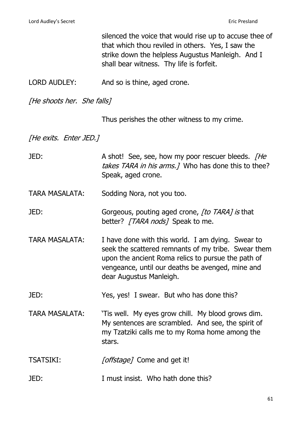|                            | silenced the voice that would rise up to accuse thee of<br>that which thou reviled in others. Yes, I saw the<br>strike down the helpless Augustus Manleigh. And I<br>shall bear witness. Thy life is forfeit.                                 |
|----------------------------|-----------------------------------------------------------------------------------------------------------------------------------------------------------------------------------------------------------------------------------------------|
| <b>LORD AUDLEY:</b>        | And so is thine, aged crone.                                                                                                                                                                                                                  |
| [He shoots her. She falls] |                                                                                                                                                                                                                                               |
|                            | Thus perishes the other witness to my crime.                                                                                                                                                                                                  |
| [He exits. Enter JED.]     |                                                                                                                                                                                                                                               |
| JED:                       | A shot! See, see, how my poor rescuer bleeds. [He<br>takes TARA in his arms. 7 Who has done this to thee?<br>Speak, aged crone.                                                                                                               |
| <b>TARA MASALATA:</b>      | Sodding Nora, not you too.                                                                                                                                                                                                                    |
| JED:                       | Gorgeous, pouting aged crone, [to TARA] is that<br>better? [TARA nods] Speak to me.                                                                                                                                                           |
| <b>TARA MASALATA:</b>      | I have done with this world. I am dying. Swear to<br>seek the scattered remnants of my tribe. Swear them<br>upon the ancient Roma relics to pursue the path of<br>vengeance, until our deaths be avenged, mine and<br>dear Augustus Manleigh. |
| JED:                       | Yes, yes! I swear. But who has done this?                                                                                                                                                                                                     |
| <b>TARA MASALATA:</b>      | 'Tis well. My eyes grow chill. My blood grows dim.<br>My sentences are scrambled. And see, the spirit of<br>my Tzatziki calls me to my Roma home among the<br>stars.                                                                          |
| <b>TSATSIKI:</b>           | [offstage] Come and get it!                                                                                                                                                                                                                   |
| JED:                       | I must insist. Who hath done this?                                                                                                                                                                                                            |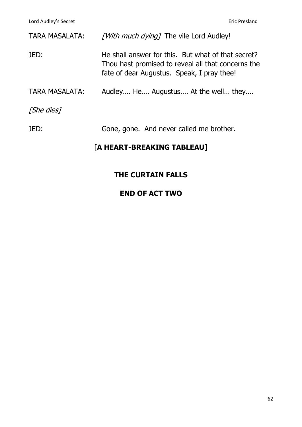| <b>TARA MASALATA:</b> | [With much dying] The vile Lord Audley!                                                                                                                |
|-----------------------|--------------------------------------------------------------------------------------------------------------------------------------------------------|
| JED:                  | He shall answer for this. But what of that secret?<br>Thou hast promised to reveal all that concerns the<br>fate of dear Augustus. Speak, I pray thee! |
| <b>TARA MASALATA:</b> | Audley He Augustus At the well they                                                                                                                    |
| [She dies]            |                                                                                                                                                        |
| JED:                  | Gone, gone. And never called me brother.                                                                                                               |

# [**A HEART-BREAKING TABLEAU]**

# **THE CURTAIN FALLS**

# **END OF ACT TWO**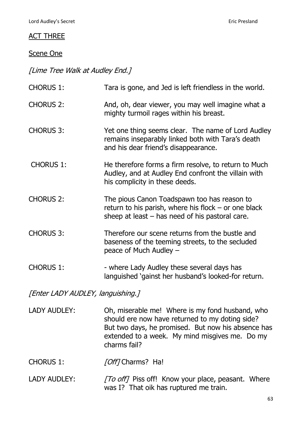### ACT THREE

### Scene One

[Lime Tree Walk at Audley End.]

| <b>CHORUS 1:</b>                  | Tara is gone, and Jed is left friendless in the world.                                                                                                     |
|-----------------------------------|------------------------------------------------------------------------------------------------------------------------------------------------------------|
| <b>CHORUS 2:</b>                  | And, oh, dear viewer, you may well imagine what a<br>mighty turmoil rages within his breast.                                                               |
| <b>CHORUS 3:</b>                  | Yet one thing seems clear. The name of Lord Audley<br>remains inseparably linked both with Tara's death<br>and his dear friend's disappearance.            |
| <b>CHORUS 1:</b>                  | He therefore forms a firm resolve, to return to Much<br>Audley, and at Audley End confront the villain with<br>his complicity in these deeds.              |
| <b>CHORUS 2:</b>                  | The pious Canon Toadspawn too has reason to<br>return to his parish, where his flock $-$ or one black<br>sheep at least $-$ has need of his pastoral care. |
| <b>CHORUS 3:</b>                  | Therefore our scene returns from the bustle and<br>baseness of the teeming streets, to the secluded<br>peace of Much Audley -                              |
| <b>CHORUS 1:</b>                  | - where Lady Audley these several days has<br>languished 'gainst her husband's looked-for return.                                                          |
| [Enter LADY AUDLEY, languishing.] |                                                                                                                                                            |
|                                   |                                                                                                                                                            |

- LADY AUDLEY: Oh, miserable me! Where is my fond husband, who should ere now have returned to my doting side? But two days, he promised. But now his absence has extended to a week. My mind misgives me. Do my charms fail?
- CHORUS 1: [Off] Charms? Ha!
- LADY AUDLEY: [To off] Piss off! Know your place, peasant. Where was I? That oik has ruptured me train.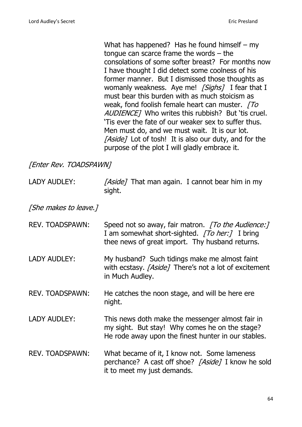What has happened? Has he found himself – my tongue can scarce frame the words – the consolations of some softer breast? For months now I have thought I did detect some coolness of his former manner. But I dismissed those thoughts as womanly weakness. Aye me! [Sighs] I fear that I must bear this burden with as much stoicism as weak, fond foolish female heart can muster.  $\sqrt{T}$ AUDIENCE] Who writes this rubbish? But 'tis cruel. 'Tis ever the fate of our weaker sex to suffer thus. Men must do, and we must wait. It is our lot. [Aside] Lot of tosh! It is also our duty, and for the purpose of the plot I will gladly embrace it.

[Enter Rev. TOADSPAWN]

LADY AUDLEY: [Aside] That man again. I cannot bear him in my sight.

[She makes to leave.]

- REV. TOADSPAWN: Speed not so away, fair matron. [To the Audience:] I am somewhat short-sighted. [To her:] I bring thee news of great import. Thy husband returns.
- LADY AUDLEY: My husband? Such tidings make me almost faint with ecstasy. [Aside] There's not a lot of excitement in Much Audley.
- REV. TOADSPAWN: He catches the noon stage, and will be here ere night.
- LADY AUDLEY: This news doth make the messenger almost fair in my sight. But stay! Why comes he on the stage? He rode away upon the finest hunter in our stables.
- REV. TOADSPAWN: What became of it, I know not. Some lameness perchance? A cast off shoe? [Aside] I know he sold it to meet my just demands.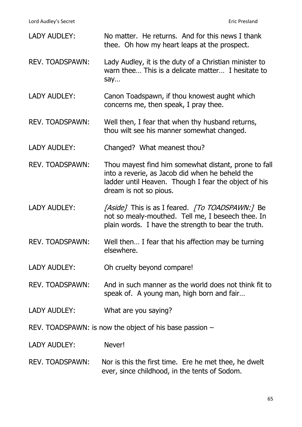Lord Audley's Secret **Example 2018** Eric Presland

| <b>LADY AUDLEY:</b>                                       | No matter. He returns. And for this news I thank<br>thee. Oh how my heart leaps at the prospect.                                                                                          |
|-----------------------------------------------------------|-------------------------------------------------------------------------------------------------------------------------------------------------------------------------------------------|
| REV. TOADSPAWN:                                           | Lady Audley, it is the duty of a Christian minister to<br>warn thee This is a delicate matter I hesitate to<br>say                                                                        |
| <b>LADY AUDLEY:</b>                                       | Canon Toadspawn, if thou knowest aught which<br>concerns me, then speak, I pray thee.                                                                                                     |
| <b>REV. TOADSPAWN:</b>                                    | Well then, I fear that when thy husband returns,<br>thou wilt see his manner somewhat changed.                                                                                            |
| <b>LADY AUDLEY:</b>                                       | Changed? What meanest thou?                                                                                                                                                               |
| <b>REV. TOADSPAWN:</b>                                    | Thou mayest find him somewhat distant, prone to fall<br>into a reverie, as Jacob did when he beheld the<br>ladder until Heaven. Though I fear the object of his<br>dream is not so pious. |
| <b>LADY AUDLEY:</b>                                       | [Aside] This is as I feared. [To TOADSPAWN:] Be<br>not so mealy-mouthed. Tell me, I beseech thee. In<br>plain words. I have the strength to bear the truth.                               |
| <b>REV. TOADSPAWN:</b>                                    | Well then I fear that his affection may be turning<br>elsewhere.                                                                                                                          |
| <b>LADY AUDLEY:</b>                                       | Oh cruelty beyond compare!                                                                                                                                                                |
| <b>REV. TOADSPAWN:</b>                                    | And in such manner as the world does not think fit to<br>speak of. A young man, high born and fair                                                                                        |
| <b>LADY AUDLEY:</b>                                       | What are you saying?                                                                                                                                                                      |
| REV. TOADSPAWN: is now the object of his base passion $-$ |                                                                                                                                                                                           |
| <b>LADY AUDLEY:</b>                                       | Never!                                                                                                                                                                                    |
| <b>REV. TOADSPAWN:</b>                                    | Nor is this the first time. Ere he met thee, he dwelt<br>ever, since childhood, in the tents of Sodom.                                                                                    |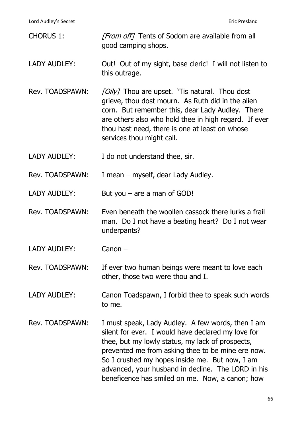Lord Audley's Secret **Eric Presland** 

CHORUS 1: [From off] Tents of Sodom are available from all good camping shops. LADY AUDLEY: Out! Out of my sight, base cleric! I will not listen to this outrage. Rev. TOADSPAWN: [Oily] Thou are upset. 'Tis natural. Thou dost grieve, thou dost mourn. As Ruth did in the alien corn. But remember this, dear Lady Audley. There are others also who hold thee in high regard. If ever thou hast need, there is one at least on whose services thou might call. LADY AUDLEY: I do not understand thee, sir. Rev. TOADSPAWN: I mean – myself, dear Lady Audley. LADY AUDLEY: But you – are a man of GOD! Rev. TOADSPAWN: Even beneath the woollen cassock there lurks a frail man. Do I not have a beating heart? Do I not wear underpants? LADY AUDLEY: Canon – Rev. TOADSPAWN: If ever two human beings were meant to love each other, those two were thou and I. LADY AUDLEY: Canon Toadspawn, I forbid thee to speak such words to me. Rev. TOADSPAWN: I must speak, Lady Audley. A few words, then I am silent for ever. I would have declared my love for thee, but my lowly status, my lack of prospects, prevented me from asking thee to be mine ere now. So I crushed my hopes inside me. But now, I am advanced, your husband in decline. The LORD in his beneficence has smiled on me. Now, a canon; how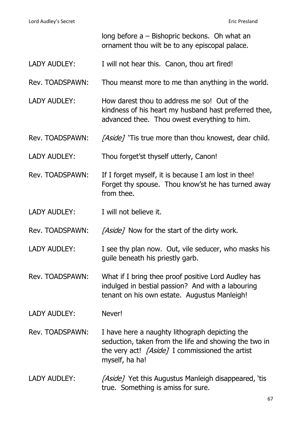|                     | long before $a - B$ ishopric beckons. Oh what an<br>ornament thou wilt be to any episcopal palace.                                                                           |
|---------------------|------------------------------------------------------------------------------------------------------------------------------------------------------------------------------|
| <b>LADY AUDLEY:</b> | I will not hear this. Canon, thou art fired!                                                                                                                                 |
| Rev. TOADSPAWN:     | Thou meanst more to me than anything in the world.                                                                                                                           |
| <b>LADY AUDLEY:</b> | How darest thou to address me so! Out of the<br>kindness of his heart my husband hast preferred thee,<br>advanced thee. Thou owest everything to him.                        |
| Rev. TOADSPAWN:     | [Aside] 'Tis true more than thou knowest, dear child.                                                                                                                        |
| <b>LADY AUDLEY:</b> | Thou forget'st thyself utterly, Canon!                                                                                                                                       |
| Rev. TOADSPAWN:     | If I forget myself, it is because I am lost in thee!<br>Forget thy spouse. Thou know'st he has turned away<br>from thee.                                                     |
| <b>LADY AUDLEY:</b> | I will not believe it.                                                                                                                                                       |
| Rev. TOADSPAWN:     | [Aside] Now for the start of the dirty work.                                                                                                                                 |
| <b>LADY AUDLEY:</b> | I see thy plan now. Out, vile seducer, who masks his<br>guile beneath his priestly garb.                                                                                     |
| Rev. TOADSPAWN:     | What if I bring thee proof positive Lord Audley has<br>indulged in bestial passion? And with a labouring<br>tenant on his own estate. Augustus Manleigh!                     |
| LADY AUDLEY:        | Never!                                                                                                                                                                       |
| Rev. TOADSPAWN:     | I have here a naughty lithograph depicting the<br>seduction, taken from the life and showing the two in<br>the very act! [Aside] I commissioned the artist<br>myself, ha ha! |
| <b>LADY AUDLEY:</b> | [Aside] Yet this Augustus Manleigh disappeared, 'tis<br>true. Something is amiss for sure.                                                                                   |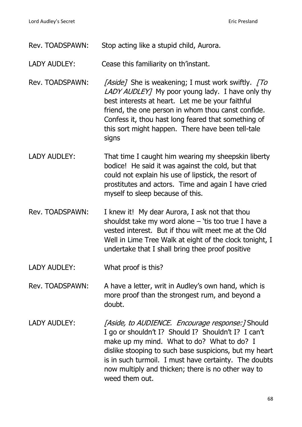| Rev. TOADSPAWN:     | Stop acting like a stupid child, Aurora.                                                                                                                                                                                                                                                                                                         |
|---------------------|--------------------------------------------------------------------------------------------------------------------------------------------------------------------------------------------------------------------------------------------------------------------------------------------------------------------------------------------------|
| LADY AUDLEY:        | Cease this familiarity on th'instant.                                                                                                                                                                                                                                                                                                            |
| Rev. TOADSPAWN:     | [Aside] She is weakening; I must work swiftly. [To<br>LADY AUDLEY] My poor young lady. I have only thy<br>best interests at heart. Let me be your faithful<br>friend, the one person in whom thou canst confide.<br>Confess it, thou hast long feared that something of<br>this sort might happen. There have been tell-tale<br>signs            |
| <b>LADY AUDLEY:</b> | That time I caught him wearing my sheepskin liberty<br>bodice! He said it was against the cold, but that<br>could not explain his use of lipstick, the resort of<br>prostitutes and actors. Time and again I have cried<br>myself to sleep because of this.                                                                                      |
| Rev. TOADSPAWN:     | I knew it! My dear Aurora, I ask not that thou<br>shouldst take my word alone $-$ 'tis too true I have a<br>vested interest. But if thou wilt meet me at the Old<br>Well in Lime Tree Walk at eight of the clock tonight, I<br>undertake that I shall bring thee proof positive                                                                  |
| LADY AUDLEY:        | What proof is this?                                                                                                                                                                                                                                                                                                                              |
| Rev. TOADSPAWN:     | A have a letter, writ in Audley's own hand, which is<br>more proof than the strongest rum, and beyond a<br>doubt.                                                                                                                                                                                                                                |
| <b>LADY AUDLEY:</b> | [Aside, to AUDIENCE. Encourage response:] Should<br>I go or shouldn't I? Should I? Shouldn't I? I can't<br>make up my mind. What to do? What to do? I<br>dislike stooping to such base suspicions, but my heart<br>is in such turmoil. I must have certainty. The doubts<br>now multiply and thicken; there is no other way to<br>weed them out. |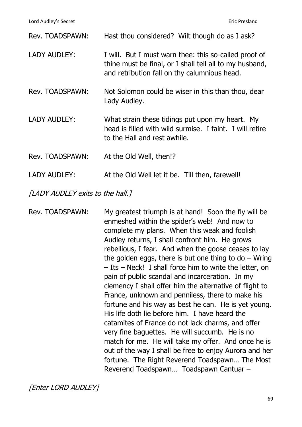| Rev. TOADSPAWN:     | Hast thou considered? Wilt though do as I ask?                                                                                                                   |
|---------------------|------------------------------------------------------------------------------------------------------------------------------------------------------------------|
| <b>LADY AUDLEY:</b> | I will. But I must warn thee: this so-called proof of<br>thine must be final, or I shall tell all to my husband,<br>and retribution fall on thy calumnious head. |
| Rev. TOADSPAWN:     | Not Solomon could be wiser in this than thou, dear<br>Lady Audley.                                                                                               |
| <b>LADY AUDLEY:</b> | What strain these tidings put upon my heart. My<br>head is filled with wild surmise. I faint. I will retire<br>to the Hall and rest awhile.                      |
| Rev. TOADSPAWN:     | At the Old Well, then!?                                                                                                                                          |
| <b>LADY AUDLEY:</b> | At the Old Well let it be. Till then, farewell!                                                                                                                  |

[LADY AUDLEY exits to the hall.]

Rev. TOADSPAWN: My greatest triumph is at hand! Soon the fly will be enmeshed within the spider's web! And now to complete my plans. When this weak and foolish Audley returns, I shall confront him. He grows rebellious, I fear. And when the goose ceases to lay the golden eggs, there is but one thing to  $do - Wring$ – Its – Neck! I shall force him to write the letter, on pain of public scandal and incarceration. In my clemency I shall offer him the alternative of flight to France, unknown and penniless, there to make his fortune and his way as best he can. He is yet young. His life doth lie before him. I have heard the catamites of France do not lack charms, and offer very fine baguettes. He will succumb. He is no match for me. He will take my offer. And once he is out of the way I shall be free to enjoy Aurora and her fortune. The Right Reverend Toadspawn… The Most Reverend Toadspawn… Toadspawn Cantuar –

[Enter LORD AUDLEY]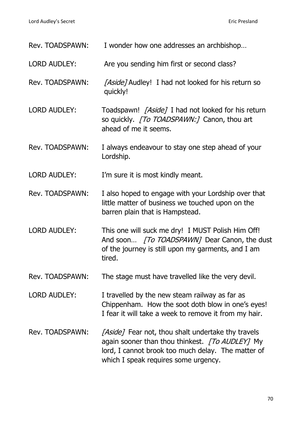| Rev. TOADSPAWN:     | I wonder how one addresses an archbishop                                                                                                                                                            |
|---------------------|-----------------------------------------------------------------------------------------------------------------------------------------------------------------------------------------------------|
| <b>LORD AUDLEY:</b> | Are you sending him first or second class?                                                                                                                                                          |
| Rev. TOADSPAWN:     | [Aside] Audley! I had not looked for his return so<br>quickly!                                                                                                                                      |
| <b>LORD AUDLEY:</b> | Toadspawn! [Aside] I had not looked for his return<br>so quickly. [To TOADSPAWN:] Canon, thou art<br>ahead of me it seems.                                                                          |
| Rev. TOADSPAWN:     | I always endeavour to stay one step ahead of your<br>Lordship.                                                                                                                                      |
| <b>LORD AUDLEY:</b> | I'm sure it is most kindly meant.                                                                                                                                                                   |
| Rev. TOADSPAWN:     | I also hoped to engage with your Lordship over that<br>little matter of business we touched upon on the<br>barren plain that is Hampstead.                                                          |
| <b>LORD AUDLEY:</b> | This one will suck me dry! I MUST Polish Him Off!<br>And soon [To TOADSPAWN] Dear Canon, the dust<br>of the journey is still upon my garments, and I am<br>tired.                                   |
| Rev. TOADSPAWN:     | The stage must have travelled like the very devil.                                                                                                                                                  |
| <b>LORD AUDLEY:</b> | I travelled by the new steam railway as far as<br>Chippenham. How the soot doth blow in one's eyes!<br>I fear it will take a week to remove it from my hair.                                        |
| Rev. TOADSPAWN:     | [Aside] Fear not, thou shalt undertake thy travels<br>again sooner than thou thinkest. [To AUDLEY] My<br>lord, I cannot brook too much delay. The matter of<br>which I speak requires some urgency. |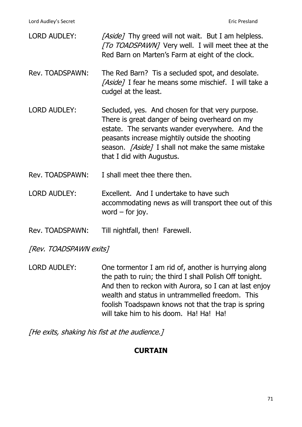| <b>LORD AUDLEY:</b> | [Aside] Thy greed will not wait. But I am helpless.<br><i>[To TOADSPAWN]</i> Very well. I will meet thee at the<br>Red Barn on Marten's Farm at eight of the clock.                                                                                                                               |
|---------------------|---------------------------------------------------------------------------------------------------------------------------------------------------------------------------------------------------------------------------------------------------------------------------------------------------|
| Rev. TOADSPAWN:     | The Red Barn? Tis a secluded spot, and desolate.<br><i>[Aside]</i> I fear he means some mischief. I will take a<br>cudgel at the least.                                                                                                                                                           |
| <b>LORD AUDLEY:</b> | Secluded, yes. And chosen for that very purpose.<br>There is great danger of being overheard on my<br>estate. The servants wander everywhere. And the<br>peasants increase mightily outside the shooting<br>season. <i>[Aside]</i> I shall not make the same mistake<br>that I did with Augustus. |
| Rev. TOADSPAWN:     | I shall meet thee there then.                                                                                                                                                                                                                                                                     |
| <b>LORD AUDLEY:</b> | Excellent. And I undertake to have such<br>accommodating news as will transport thee out of this<br>word $-$ for joy.                                                                                                                                                                             |

Rev. TOADSPAWN: Till nightfall, then! Farewell.

[Rev. TOADSPAWN exits]

LORD AUDLEY: One tormentor I am rid of, another is hurrying along the path to ruin; the third I shall Polish Off tonight. And then to reckon with Aurora, so I can at last enjoy wealth and status in untrammelled freedom. This foolish Toadspawn knows not that the trap is spring will take him to his doom. Ha! Ha! Ha!

[He exits, shaking his fist at the audience.]

## **CURTAIN**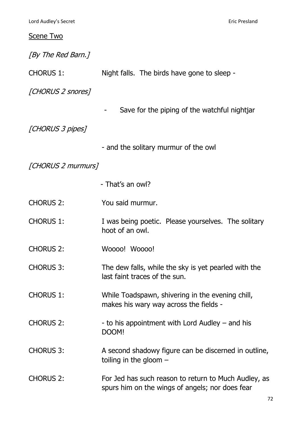#### Scene Two

[By The Red Barn.]

CHORUS 1: Night falls. The birds have gone to sleep -

[CHORUS 2 snores]

Save for the piping of the watchful nightjar

[CHORUS 3 pipes]

- and the solitary murmur of the owl

## [CHORUS 2 murmurs]

- That's an owl?
- CHORUS 2: You said murmur.
- CHORUS 1: I was being poetic. Please yourselves. The solitary hoot of an owl.
- CHORUS 2: Woooo! Woooo!
- CHORUS 3: The dew falls, while the sky is yet pearled with the last faint traces of the sun.
- CHORUS 1: While Toadspawn, shivering in the evening chill, makes his wary way across the fields -
- CHORUS 2:  $\qquad \qquad$  to his appointment with Lord Audley and his DOOM!
- CHORUS 3: A second shadowy figure can be discerned in outline, toiling in the gloom –
- CHORUS 2: For Jed has such reason to return to Much Audley, as spurs him on the wings of angels; nor does fear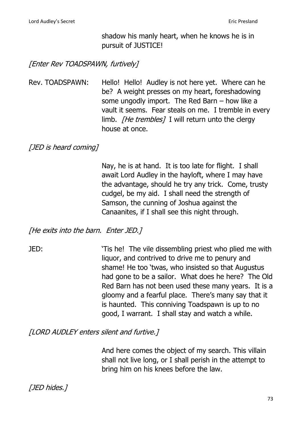shadow his manly heart, when he knows he is in pursuit of JUSTICE!

[Enter Rev TOADSPAWN, furtively]

Rev. TOADSPAWN: Hello! Hello! Audley is not here yet. Where can he be? A weight presses on my heart, foreshadowing some ungodly import. The Red Barn – how like a vault it seems. Fear steals on me. I tremble in every limb. *[He trembles]* I will return unto the clergy house at once.

[JED is heard coming]

Nay, he is at hand. It is too late for flight. I shall await Lord Audley in the hayloft, where I may have the advantage, should he try any trick. Come, trusty cudgel, be my aid. I shall need the strength of Samson, the cunning of Joshua against the Canaanites, if I shall see this night through.

[He exits into the barn. Enter JED.]

JED: 'Tis he! The vile dissembling priest who plied me with liquor, and contrived to drive me to penury and shame! He too 'twas, who insisted so that Augustus had gone to be a sailor. What does he here? The Old Red Barn has not been used these many years. It is a gloomy and a fearful place. There's many say that it is haunted. This conniving Toadspawn is up to no good, I warrant. I shall stay and watch a while.

[LORD AUDLEY enters silent and furtive.]

And here comes the object of my search. This villain shall not live long, or I shall perish in the attempt to bring him on his knees before the law.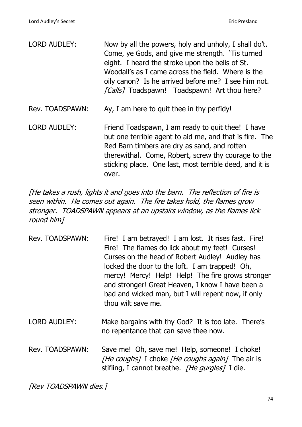| <b>LORD AUDLEY:</b> | Now by all the powers, holy and unholy, I shall do't.<br>Come, ye Gods, and give me strength. 'Tis turned<br>eight. I heard the stroke upon the bells of St.<br>Woodall's as I came across the field. Where is the<br>oily canon? Is he arrived before me? I see him not.<br>[Calls] Toadspawn! Toadspawn! Art thou here? |
|---------------------|---------------------------------------------------------------------------------------------------------------------------------------------------------------------------------------------------------------------------------------------------------------------------------------------------------------------------|
| Rev. TOADSPAWN:     | Ay, I am here to quit thee in thy perfidy!                                                                                                                                                                                                                                                                                |
| <b>LORD AUDLEY:</b> | Friend Toadspawn, I am ready to quit thee! I have<br>but one terrible agent to aid me, and that is fire. The<br>Red Barn timbers are dry as sand, and rotten<br>therewithal. Come, Robert, screw thy courage to the<br>sticking place. One last, most terrible deed, and it is<br>over.                                   |

[He takes a rush, lights it and goes into the barn. The reflection of fire is seen within. He comes out again. The fire takes hold, the flames grow stronger. TOADSPAWN appears at an upstairs window, as the flames lick round him]

| Rev. TOADSPAWN: | Fire! I am betrayed! I am lost. It rises fast. Fire!<br>Fire! The flames do lick about my feet! Curses!<br>Curses on the head of Robert Audley! Audley has<br>locked the door to the loft. I am trapped! Oh,<br>mercy! Mercy! Help! Help! The fire grows stronger<br>and stronger! Great Heaven, I know I have been a<br>bad and wicked man, but I will repent now, if only<br>thou wilt save me. |
|-----------------|---------------------------------------------------------------------------------------------------------------------------------------------------------------------------------------------------------------------------------------------------------------------------------------------------------------------------------------------------------------------------------------------------|
|                 |                                                                                                                                                                                                                                                                                                                                                                                                   |

- LORD AUDLEY: Make bargains with thy God? It is too late. There's no repentance that can save thee now.
- Rev. TOADSPAWN: Save me! Oh, save me! Help, someone! I choke! [He coughs] I choke [He coughs again] The air is stifling, I cannot breathe. [He gurgles] I die.

[Rev TOADSPAWN dies.]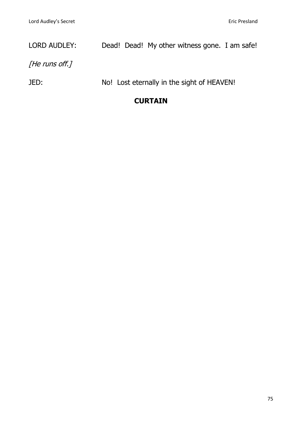# LORD AUDLEY: Dead! Dead! My other witness gone. I am safe!

[He runs off.]

JED: No! Lost eternally in the sight of HEAVEN!

### **CURTAIN**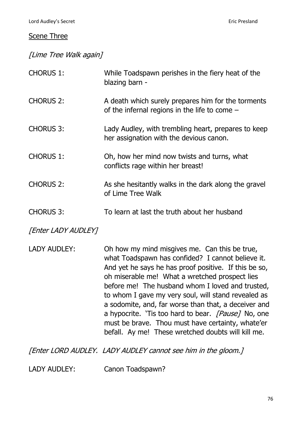#### Scene Three

[Lime Tree Walk again]

| <b>CHORUS 1:</b> | While Toadspawn perishes in the fiery heat of the<br>blazing barn -                                   |
|------------------|-------------------------------------------------------------------------------------------------------|
| <b>CHORUS 2:</b> | A death which surely prepares him for the torments<br>of the infernal regions in the life to come $-$ |
| <b>CHORUS 3:</b> | Lady Audley, with trembling heart, prepares to keep<br>her assignation with the devious canon.        |
| <b>CHORUS 1:</b> | Oh, how her mind now twists and turns, what<br>conflicts rage within her breast!                      |
| <b>CHORUS 2:</b> | As she hesitantly walks in the dark along the gravel<br>of Lime Tree Walk                             |
| <b>CHORUS 3:</b> | To learn at last the truth about her husband                                                          |

[Enter LADY AUDLEY]

LADY AUDLEY: Oh how my mind misgives me. Can this be true, what Toadspawn has confided? I cannot believe it. And yet he says he has proof positive. If this be so, oh miserable me! What a wretched prospect lies before me! The husband whom I loved and trusted, to whom I gave my very soul, will stand revealed as a sodomite, and, far worse than that, a deceiver and a hypocrite. 'Tis too hard to bear. [Pause] No, one must be brave. Thou must have certainty, whate'er befall. Ay me! These wretched doubts will kill me.

[Enter LORD AUDLEY. LADY AUDLEY cannot see him in the gloom.]

LADY AUDLEY: Canon Toadspawn?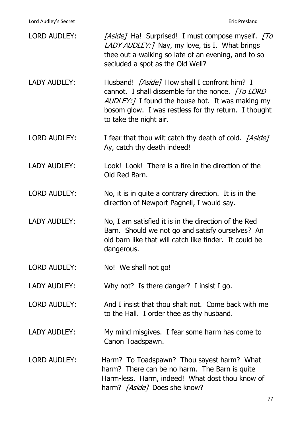| <b>LORD AUDLEY:</b> | [Aside] Ha! Surprised! I must compose myself. [To<br>LADY AUDLEY: ] Nay, my love, tis I. What brings<br>thee out a-walking so late of an evening, and to so<br>secluded a spot as the Old Well?                                                |
|---------------------|------------------------------------------------------------------------------------------------------------------------------------------------------------------------------------------------------------------------------------------------|
| <b>LADY AUDLEY:</b> | Husband! [Aside] How shall I confront him? I<br>cannot. I shall dissemble for the nonce. [To LORD]<br><i>AUDLEY:</i> I found the house hot. It was making my<br>bosom glow. I was restless for thy return. I thought<br>to take the night air. |
| <b>LORD AUDLEY:</b> | I fear that thou wilt catch thy death of cold. [Aside]<br>Ay, catch thy death indeed!                                                                                                                                                          |
| <b>LADY AUDLEY:</b> | Look! Look! There is a fire in the direction of the<br>Old Red Barn.                                                                                                                                                                           |
| <b>LORD AUDLEY:</b> | No, it is in quite a contrary direction. It is in the<br>direction of Newport Pagnell, I would say.                                                                                                                                            |
| <b>LADY AUDLEY:</b> | No, I am satisfied it is in the direction of the Red<br>Barn. Should we not go and satisfy ourselves? An<br>old barn like that will catch like tinder. It could be<br>dangerous.                                                               |
| <b>LORD AUDLEY:</b> | No! We shall not go!                                                                                                                                                                                                                           |
| <b>LADY AUDLEY:</b> | Why not? Is there danger? I insist I go.                                                                                                                                                                                                       |
| <b>LORD AUDLEY:</b> | And I insist that thou shalt not. Come back with me<br>to the Hall. I order thee as thy husband.                                                                                                                                               |
| <b>LADY AUDLEY:</b> | My mind misgives. I fear some harm has come to<br>Canon Toadspawn.                                                                                                                                                                             |
| <b>LORD AUDLEY:</b> | Harm? To Toadspawn? Thou sayest harm? What<br>harm? There can be no harm. The Barn is quite<br>Harm-less. Harm, indeed! What dost thou know of<br>harm? [Aside] Does she know?                                                                 |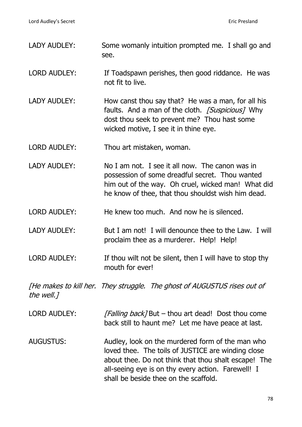Lord Audley's Secret **Eric Presland** 

- LADY AUDLEY: Some womanly intuition prompted me. I shall go and see.
- LORD AUDLEY: If Toadspawn perishes, then good riddance. He was not fit to live.
- LADY AUDLEY: How canst thou say that? He was a man, for all his faults. And a man of the cloth. *[Suspicious]* Why dost thou seek to prevent me? Thou hast some wicked motive, I see it in thine eye.
- LORD AUDLEY: Thou art mistaken, woman.
- LADY AUDLEY: No I am not. I see it all now. The canon was in possession of some dreadful secret. Thou wanted him out of the way. Oh cruel, wicked man! What did he know of thee, that thou shouldst wish him dead.
- LORD AUDLEY: He knew too much. And now he is silenced.
- LADY AUDLEY: But I am not! I will denounce thee to the Law. I will proclaim thee as a murderer. Help! Help!
- LORD AUDLEY: If thou wilt not be silent, then I will have to stop thy mouth for ever!

[He makes to kill her. They struggle. The ghost of AUGUSTUS rises out of the well.]

- LORD AUDLEY:  $[Falling back]$  But thou art dead! Dost thou come back still to haunt me? Let me have peace at last.
- AUGUSTUS: Audley, look on the murdered form of the man who loved thee. The toils of JUSTICE are winding close about thee. Do not think that thou shalt escape! The all-seeing eye is on thy every action. Farewell! I shall be beside thee on the scaffold.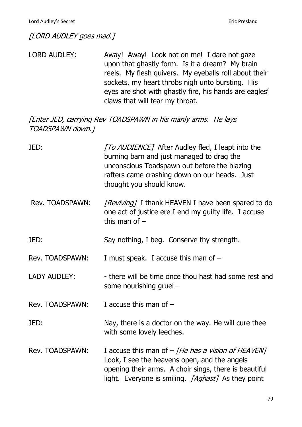[LORD AUDLEY goes mad.]

LORD AUDLEY: Away! Away! Look not on me! I dare not gaze upon that ghastly form. Is it a dream? My brain reels. My flesh quivers. My eyeballs roll about their sockets, my heart throbs nigh unto bursting. His eyes are shot with ghastly fire, his hands are eagles' claws that will tear my throat.

[Enter JED, carrying Rev TOADSPAWN in his manly arms. He lays TOADSPAWN down.]

| JED:                | [To AUDIENCE] After Audley fled, I leapt into the<br>burning barn and just managed to drag the<br>unconscious Toadspawn out before the blazing<br>rafters came crashing down on our heads. Just<br>thought you should know. |
|---------------------|-----------------------------------------------------------------------------------------------------------------------------------------------------------------------------------------------------------------------------|
| Rev. TOADSPAWN:     | [Reviving] I thank HEAVEN I have been spared to do<br>one act of justice ere I end my guilty life. I accuse<br>this man of $-$                                                                                              |
| JED:                | Say nothing, I beg. Conserve thy strength.                                                                                                                                                                                  |
| Rev. TOADSPAWN:     | I must speak. I accuse this man of $-$                                                                                                                                                                                      |
| <b>LADY AUDLEY:</b> | - there will be time once thou hast had some rest and<br>some nourishing gruel $-$                                                                                                                                          |
| Rev. TOADSPAWN:     | I accuse this man of $-$                                                                                                                                                                                                    |
| JED:                | Nay, there is a doctor on the way. He will cure thee<br>with some lovely leeches.                                                                                                                                           |
| Rev. TOADSPAWN:     | I accuse this man of $-$ <i>[He has a vision of HEAVEN]</i><br>Look, I see the heavens open, and the angels<br>opening their arms. A choir sings, there is beautiful<br>light. Everyone is smiling. [Aghast] As they point  |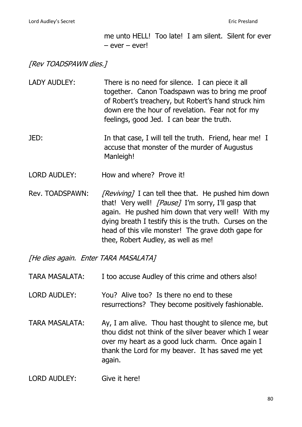me unto HELL! Too late! I am silent. Silent for ever – ever – ever!

[Rev TOADSPAWN dies.]

- LADY AUDLEY: There is no need for silence. I can piece it all together. Canon Toadspawn was to bring me proof of Robert's treachery, but Robert's hand struck him down ere the hour of revelation. Fear not for my feelings, good Jed. I can bear the truth.
- JED: In that case, I will tell the truth. Friend, hear me! I accuse that monster of the murder of Augustus Manleigh!
- LORD AUDLEY: How and where? Prove it!
- Rev. TOADSPAWN: [Reviving] I can tell thee that. He pushed him down that! Very well! *[Pause]* I'm sorry, I'll gasp that again. He pushed him down that very well! With my dying breath I testify this is the truth. Curses on the head of this vile monster! The grave doth gape for thee, Robert Audley, as well as me!

[He dies again. Enter TARA MASALATA]

| <b>TARA MASALATA:</b> | I too accuse Audley of this crime and others also! |  |
|-----------------------|----------------------------------------------------|--|
|                       |                                                    |  |

- LORD AUDLEY: You? Alive too? Is there no end to these resurrections? They become positively fashionable.
- TARA MASALATA: Ay, I am alive. Thou hast thought to silence me, but thou didst not think of the silver beaver which I wear over my heart as a good luck charm. Once again I thank the Lord for my beaver. It has saved me yet again.
- LORD AUDLEY: Give it here!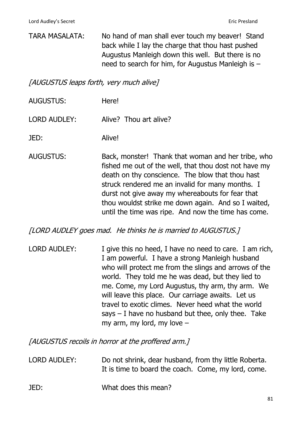TARA MASALATA: No hand of man shall ever touch my beaver! Stand back while I lay the charge that thou hast pushed Augustus Manleigh down this well. But there is no need to search for him, for Augustus Manleigh is –

[AUGUSTUS leaps forth, very much alive]

- AUGUSTUS: Here!
- LORD AUDLEY: Alive? Thou art alive?

JED: Alive!

AUGUSTUS: Back, monster! Thank that woman and her tribe, who fished me out of the well, that thou dost not have my death on thy conscience. The blow that thou hast struck rendered me an invalid for many months. I durst not give away my whereabouts for fear that thou wouldst strike me down again. And so I waited, until the time was ripe. And now the time has come.

[LORD AUDLEY goes mad. He thinks he is married to AUGUSTUS.]

LORD AUDLEY: I give this no heed, I have no need to care. I am rich, I am powerful. I have a strong Manleigh husband who will protect me from the slings and arrows of the world. They told me he was dead, but they lied to me. Come, my Lord Augustus, thy arm, thy arm. We will leave this place. Our carriage awaits. Let us travel to exotic climes. Never heed what the world says  $-$  I have no husband but thee, only thee. Take my arm, my lord, my love –

[AUGUSTUS recoils in horror at the proffered arm.]

- LORD AUDLEY: Do not shrink, dear husband, from thy little Roberta. It is time to board the coach. Come, my lord, come.
- JED: What does this mean?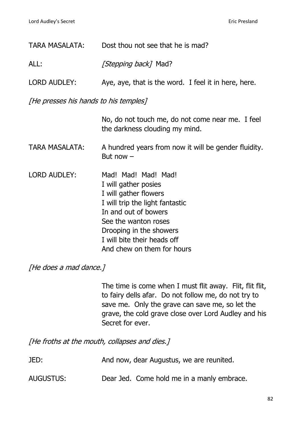| <b>TARA MASALATA:</b>                 | Dost thou not see that he is mad?                                                                                                                                                                                                               |  |
|---------------------------------------|-------------------------------------------------------------------------------------------------------------------------------------------------------------------------------------------------------------------------------------------------|--|
| ALL:                                  | <i>[Stepping back]</i> Mad?                                                                                                                                                                                                                     |  |
| <b>LORD AUDLEY:</b>                   | Aye, aye, that is the word. I feel it in here, here.                                                                                                                                                                                            |  |
| [He presses his hands to his temples] |                                                                                                                                                                                                                                                 |  |
|                                       | No, do not touch me, do not come near me. I feel<br>the darkness clouding my mind.                                                                                                                                                              |  |
| <b>TARA MASALATA:</b>                 | A hundred years from now it will be gender fluidity.<br>But now $-$                                                                                                                                                                             |  |
| <b>LORD AUDLEY:</b>                   | Mad! Mad! Mad! Mad!<br>I will gather posies<br>I will gather flowers<br>I will trip the light fantastic<br>In and out of bowers<br>See the wanton roses<br>Drooping in the showers<br>I will bite their heads off<br>And chew on them for hours |  |

[He does a mad dance.]

The time is come when I must flit away. Flit, flit flit, to fairy dells afar. Do not follow me, do not try to save me. Only the grave can save me, so let the grave, the cold grave close over Lord Audley and his Secret for ever.

[He froths at the mouth, collapses and dies.]

| JED: |  | And now, dear Augustus, we are reunited. |
|------|--|------------------------------------------|
|      |  |                                          |

AUGUSTUS: Dear Jed. Come hold me in a manly embrace.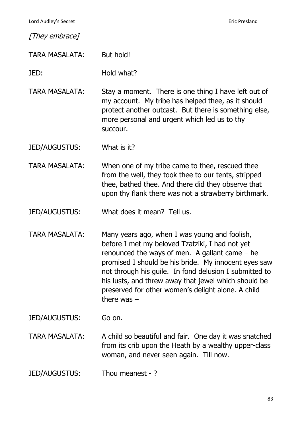Lord Audley's Secret **Eric Presland** 

[They embrace]

TARA MASALATA: But hold!

JED: Hold what?

TARA MASALATA: Stay a moment. There is one thing I have left out of my account. My tribe has helped thee, as it should protect another outcast. But there is something else, more personal and urgent which led us to thy succour.

JED/AUGUSTUS: What is it?

TARA MASALATA: When one of my tribe came to thee, rescued thee from the well, they took thee to our tents, stripped thee, bathed thee. And there did they observe that upon thy flank there was not a strawberry birthmark.

JED/AUGUSTUS: What does it mean? Tell us.

TARA MASALATA: Many years ago, when I was young and foolish, before I met my beloved Tzatziki, I had not yet renounced the ways of men. A gallant came – he promised I should be his bride. My innocent eyes saw not through his guile. In fond delusion I submitted to his lusts, and threw away that jewel which should be preserved for other women's delight alone. A child there was –

JED/AUGUSTUS: Go on.

TARA MASALATA: A child so beautiful and fair. One day it was snatched from its crib upon the Heath by a wealthy upper-class woman, and never seen again. Till now.

JED/AUGUSTUS: Thou meanest - ?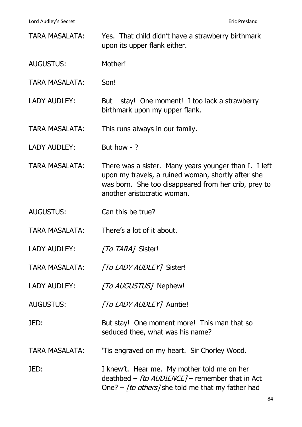| <b>TARA MASALATA:</b> | Yes. That child didn't have a strawberry birthmark<br>upon its upper flank either.                                                                                                                 |
|-----------------------|----------------------------------------------------------------------------------------------------------------------------------------------------------------------------------------------------|
| <b>AUGUSTUS:</b>      | Mother!                                                                                                                                                                                            |
| <b>TARA MASALATA:</b> | Son!                                                                                                                                                                                               |
| <b>LADY AUDLEY:</b>   | But $-$ stay! One moment! I too lack a strawberry<br>birthmark upon my upper flank.                                                                                                                |
| <b>TARA MASALATA:</b> | This runs always in our family.                                                                                                                                                                    |
| <b>LADY AUDLEY:</b>   | But how $-$ ?                                                                                                                                                                                      |
| <b>TARA MASALATA:</b> | There was a sister. Many years younger than I. I left<br>upon my travels, a ruined woman, shortly after she<br>was born. She too disappeared from her crib, prey to<br>another aristocratic woman. |
| <b>AUGUSTUS:</b>      | Can this be true?                                                                                                                                                                                  |
| <b>TARA MASALATA:</b> | There's a lot of it about.                                                                                                                                                                         |
| <b>LADY AUDLEY:</b>   | <i>To TARAT</i> Sister!                                                                                                                                                                            |
| TARA MASALATA:        | [To LADY AUDLEY] Sister!                                                                                                                                                                           |
| <b>LADY AUDLEY:</b>   | [To AUGUSTUS] Nephew!                                                                                                                                                                              |
| <b>AUGUSTUS:</b>      | <i>[To LADY AUDLEY]</i> Auntie!                                                                                                                                                                    |
| JED:                  | But stay! One moment more! This man that so<br>seduced thee, what was his name?                                                                                                                    |
| TARA MASALATA:        | 'Tis engraved on my heart. Sir Chorley Wood.                                                                                                                                                       |
| JED:                  | I knew't. Hear me. My mother told me on her<br>deathbed – [to AUDIENCE] – remember that in Act<br>One? – [to others] she told me that my father had                                                |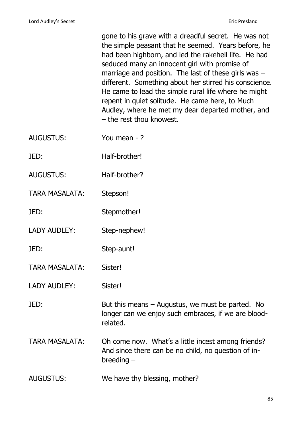gone to his grave with a dreadful secret. He was not the simple peasant that he seemed. Years before, he had been highborn, and led the rakehell life. He had seduced many an innocent girl with promise of marriage and position. The last of these girls was – different. Something about her stirred his conscience. He came to lead the simple rural life where he might repent in quiet solitude. He came here, to Much Audley, where he met my dear departed mother, and – the rest thou knowest.

- AUGUSTUS: You mean ?
- JED: Half-brother!
- AUGUSTUS: Half-brother?
- TARA MASALATA: Stepson!
- JED: Stepmother!
- LADY AUDLEY: Step-nephew!
- JED: Step-aunt!
- TARA MASALATA: Sister!
- LADY AUDLEY: Sister!

JED: But this means – Augustus, we must be parted. No longer can we enjoy such embraces, if we are bloodrelated.

- TARA MASALATA: Oh come now. What's a little incest among friends? And since there can be no child, no question of inbreeding –
- AUGUSTUS: We have thy blessing, mother?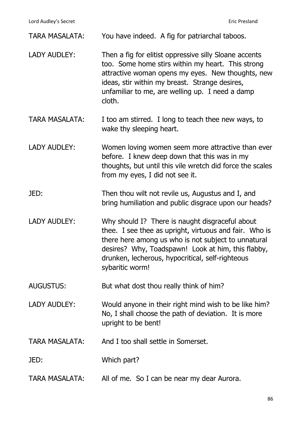| <b>TARA MASALATA:</b> | You have indeed. A fig for patriarchal taboos.                                                                                                                                                                                                                                                |
|-----------------------|-----------------------------------------------------------------------------------------------------------------------------------------------------------------------------------------------------------------------------------------------------------------------------------------------|
| <b>LADY AUDLEY:</b>   | Then a fig for elitist oppressive silly Sloane accents<br>too. Some home stirs within my heart. This strong<br>attractive woman opens my eyes. New thoughts, new<br>ideas, stir within my breast. Strange desires,<br>unfamiliar to me, are welling up. I need a damp<br>cloth.               |
| <b>TARA MASALATA:</b> | I too am stirred. I long to teach thee new ways, to<br>wake thy sleeping heart.                                                                                                                                                                                                               |
| <b>LADY AUDLEY:</b>   | Women loving women seem more attractive than ever<br>before. I knew deep down that this was in my<br>thoughts, but until this vile wretch did force the scales<br>from my eyes, I did not see it.                                                                                             |
| JED:                  | Then thou wilt not revile us, Augustus and I, and<br>bring humiliation and public disgrace upon our heads?                                                                                                                                                                                    |
| <b>LADY AUDLEY:</b>   | Why should I? There is naught disgraceful about<br>thee. I see thee as upright, virtuous and fair. Who is<br>there here among us who is not subject to unnatural<br>desires? Why, Toadspawn! Look at him, this flabby,<br>drunken, lecherous, hypocritical, self-righteous<br>sybaritic worm! |
| <b>AUGUSTUS:</b>      | But what dost thou really think of him?                                                                                                                                                                                                                                                       |
| <b>LADY AUDLEY:</b>   | Would anyone in their right mind wish to be like him?<br>No, I shall choose the path of deviation. It is more<br>upright to be bent!                                                                                                                                                          |
| <b>TARA MASALATA:</b> | And I too shall settle in Somerset.                                                                                                                                                                                                                                                           |
| JED:                  | Which part?                                                                                                                                                                                                                                                                                   |
| TARA MASALATA:        | All of me. So I can be near my dear Aurora.                                                                                                                                                                                                                                                   |